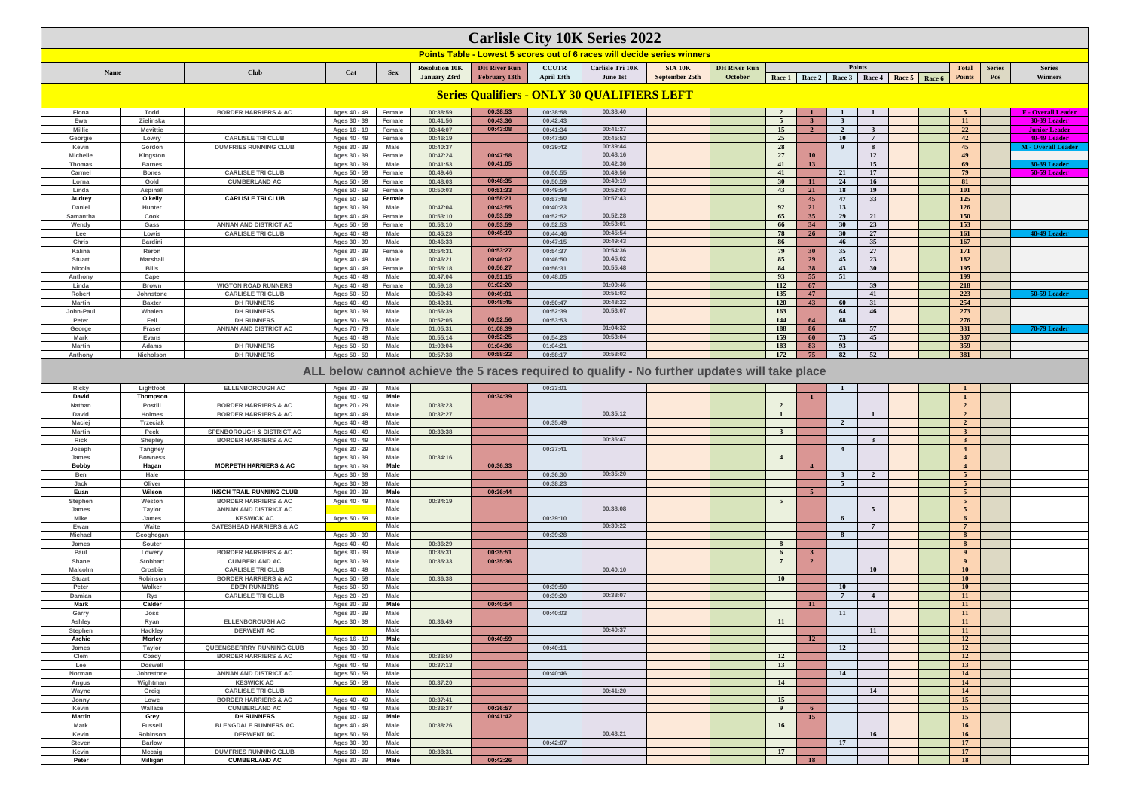| <b>Carlisle City 10K Series 2022</b><br>Points Table - Lowest 5 scores out of 6 races will decide series winners<br><b>Points</b><br><b>DH River Run</b><br><b>DH River Run</b><br><b>CCUTR</b><br>Carlisle Tri 10K<br><b>SIA 10K</b><br><b>Resolution 10K</b><br><b>Total</b><br><b>Series</b><br><b>Series</b><br><b>Club</b><br>Cat<br><b>Name</b><br><b>Sex</b><br>September 25th<br>October<br>January 23rd<br><b>February 13th</b><br>April 13th<br>Pos<br>Winners<br><b>June 1st</b><br>Race 1 Race 2<br>Race 3   Race 4   Race 5   Race 6<br><b>Points</b> |                             |                                                             |                              |                       |                      |                      |                      |                                                                                               |  |  |                         |                      |                               |                     |                                  |                                           |
|--------------------------------------------------------------------------------------------------------------------------------------------------------------------------------------------------------------------------------------------------------------------------------------------------------------------------------------------------------------------------------------------------------------------------------------------------------------------------------------------------------------------------------------------------------------------|-----------------------------|-------------------------------------------------------------|------------------------------|-----------------------|----------------------|----------------------|----------------------|-----------------------------------------------------------------------------------------------|--|--|-------------------------|----------------------|-------------------------------|---------------------|----------------------------------|-------------------------------------------|
|                                                                                                                                                                                                                                                                                                                                                                                                                                                                                                                                                                    |                             |                                                             |                              |                       |                      |                      |                      |                                                                                               |  |  |                         |                      |                               |                     |                                  |                                           |
|                                                                                                                                                                                                                                                                                                                                                                                                                                                                                                                                                                    |                             |                                                             |                              |                       |                      |                      |                      |                                                                                               |  |  |                         |                      |                               |                     |                                  |                                           |
|                                                                                                                                                                                                                                                                                                                                                                                                                                                                                                                                                                    |                             |                                                             |                              |                       |                      |                      |                      | <b>Series Qualifiers - ONLY 30 QUALIFIERS LEFT</b>                                            |  |  |                         |                      |                               |                     |                                  |                                           |
| Fiona                                                                                                                                                                                                                                                                                                                                                                                                                                                                                                                                                              | Todd                        | <b>BORDER HARRIERS &amp; AC</b>                             | Ages 40 - 49                 | Female                | 00:38:59             | 00:38:53             | 00:38:58             | 00:38:40                                                                                      |  |  | <sup>2</sup>            |                      |                               |                     | -5                               | <b>F</b> - Overall Leader                 |
| Ewa                                                                                                                                                                                                                                                                                                                                                                                                                                                                                                                                                                | Zielinska                   |                                                             | Ages 30 - 39                 | Female                | 00:41:56             | 00:43:36             | 00:42:43             |                                                                                               |  |  | - 5                     |                      | $\mathbf{3}$                  |                     | 11                               | 30-39 Leader                              |
| <b>Millie</b>                                                                                                                                                                                                                                                                                                                                                                                                                                                                                                                                                      | <b>Mcvittie</b>             |                                                             | Ages 16 - 19                 | Female                | 00:44:07             | 00:43:08             | 00:41:34             | 00:41:27                                                                                      |  |  | 15                      |                      | $\overline{2}$                | $\mathbf{3}$        | 22                               | <b>Junior Leader</b>                      |
| Georgie<br>Kevin                                                                                                                                                                                                                                                                                                                                                                                                                                                                                                                                                   | Lowry<br>Gordon             | <b>CARLISLE TRI CLUB</b><br><b>DUMFRIES RUNNING CLUB</b>    | Ages 40 - 49<br>Ages 30 - 39 | Female<br>Male        | 00:46:19<br>00:40:37 |                      | 00:47:50<br>00:39:42 | 00:45:53<br>00:39:44                                                                          |  |  | 25<br>28                |                      | <b>10</b><br>$\boldsymbol{9}$ | $\overline{7}$<br>8 | 42<br>45                         | 40-49 Leader<br><b>M</b> - Overall Leader |
| <b>Michelle</b>                                                                                                                                                                                                                                                                                                                                                                                                                                                                                                                                                    | Kingston                    |                                                             | Ages 30 - 39                 | Female                | 00:47:24             | 00:47:58             |                      | 00:48:16                                                                                      |  |  | 27                      | 10                   |                               | 12                  | 49                               |                                           |
| Thomas                                                                                                                                                                                                                                                                                                                                                                                                                                                                                                                                                             | <b>Barnes</b>               |                                                             | Ages 30 - 39                 | Male                  | 00:41:53             | 00:41:05             |                      | 00:42:36                                                                                      |  |  | 41                      | 13                   |                               | 15                  | 69                               | <b>30-39 Leader</b>                       |
| Carmel                                                                                                                                                                                                                                                                                                                                                                                                                                                                                                                                                             | <b>Bones</b>                | <b>CARLISLE TRI CLUB</b>                                    | Ages 50 - 59                 | Female                | 00:49:46             |                      | 00:50:55             | 00:49:56                                                                                      |  |  | 41                      |                      | 21                            | 17                  | 79                               | 50-59 Leader                              |
| Lorna<br>Linda                                                                                                                                                                                                                                                                                                                                                                                                                                                                                                                                                     | Gold<br>Aspinall            | <b>CUMBERLAND AC</b>                                        | Ages 50 - 59<br>Ages 50 - 59 | Female<br>Female      | 00:48:03<br>00:50:03 | 00:48:35<br>00:51:33 | 00:50:59<br>00:49:54 | 00:49:19<br>00:52:03                                                                          |  |  | 30<br>43                | 11<br>21             | 24<br>18                      | 16<br>19            | 81<br>101                        |                                           |
| Audrey                                                                                                                                                                                                                                                                                                                                                                                                                                                                                                                                                             | O'kelly                     | <b>CARLISLE TRI CLUB</b>                                    | Ages 50 - 59                 | Female                |                      | 00:58:21             | 00:57:48             | 00:57:43                                                                                      |  |  |                         | 45                   | 47                            | 33 <sup>3</sup>     | 125                              |                                           |
| <b>Daniel</b>                                                                                                                                                                                                                                                                                                                                                                                                                                                                                                                                                      | <b>Hunter</b>               |                                                             | Ages 30 - 39                 | Male                  | 00:47:04             | 00:43:55             | 00:40:23             |                                                                                               |  |  | 92                      | 21                   | 13                            |                     | 126                              |                                           |
| Samantha                                                                                                                                                                                                                                                                                                                                                                                                                                                                                                                                                           | Cook                        |                                                             | Ages 40 - 49                 | Female                | 00:53:10             | 00:53:59             | 00:52:52             | 00:52:28                                                                                      |  |  | 65                      | 35 <sup>2</sup>      | 29                            | 21                  | 150                              |                                           |
| Wendy<br>Lee                                                                                                                                                                                                                                                                                                                                                                                                                                                                                                                                                       | Gass<br>Lowis               | <b>ANNAN AND DISTRICT AC</b><br><b>CARLISLE TRI CLUB</b>    | Ages 50 - 59<br>Ages 40 - 49 | Female<br>Male        | 00:53:10<br>00:45:28 | 00:53:59<br>00:45:19 | 00:52:53<br>00:44:46 | 00:53:01<br>00:45:54                                                                          |  |  | 66<br>78                | 34<br>26             | 30<br>30                      | 23<br>27            | 153<br>161                       | 40-49 Leader                              |
| Chris                                                                                                                                                                                                                                                                                                                                                                                                                                                                                                                                                              | <b>Bardini</b>              |                                                             | Ages 30 - 39                 | Male                  | 00:46:33             |                      | 00:47:15             | 00:49:43                                                                                      |  |  | 86                      |                      | 46                            | 35                  | 167                              |                                           |
| Kalina                                                                                                                                                                                                                                                                                                                                                                                                                                                                                                                                                             | Reron                       |                                                             | Ages 30 - 39                 | Female                | 00:54:31             | 00:53:27             | 00:54:37             | 00:54:36                                                                                      |  |  | 79                      | 30 <sup>°</sup>      | 35                            | 27                  | 171                              |                                           |
| Stuart                                                                                                                                                                                                                                                                                                                                                                                                                                                                                                                                                             | Marshall                    |                                                             | Ages 40 - 49                 | <b>Male</b>           | 00:46:21             | 00:46:02             | 00:46:50             | 00:45:02                                                                                      |  |  | 85                      | 29                   | 45                            | 23                  | 182                              |                                           |
| Nicola                                                                                                                                                                                                                                                                                                                                                                                                                                                                                                                                                             | <b>Bills</b>                |                                                             | Ages 40 - 49                 | Female                | 00:55:18             | 00:56:27             | 00:56:31             | 00:55:48                                                                                      |  |  | 84<br>93                | 38                   | 43                            | 30 <sup>°</sup>     | 195                              |                                           |
| <b>Anthon</b><br>Linda                                                                                                                                                                                                                                                                                                                                                                                                                                                                                                                                             | Cape<br><b>Brown</b>        | <b>WIGTON ROAD RUNNERS</b>                                  | Ages 40 - 49<br>Ages 40 - 49 | <b>Male</b><br>Female | 00:47:04<br>00:59:18 | 00:51:15<br>01:02:20 | 00:48:05             | 01:00:46                                                                                      |  |  | 112                     | 55<br>67             | 51                            | 39                  | 199<br>218                       |                                           |
| Robert                                                                                                                                                                                                                                                                                                                                                                                                                                                                                                                                                             | Johnstone                   | <b>CARLISLE TRI CLUB</b>                                    | Ages 50 - 59                 | <b>Male</b>           | 00:50:43             | 00:49:01             |                      | 00:51:02                                                                                      |  |  | 135                     | 47                   |                               | 41                  | 223                              | 50-59 Leader                              |
| <b>Martin</b>                                                                                                                                                                                                                                                                                                                                                                                                                                                                                                                                                      | <b>Baxter</b>               | <b>DH RUNNERS</b>                                           | Ages 40 - 49                 | <b>Male</b>           | 00:49:31             | 00:48:45             | 00:50:47             | 00:48:22                                                                                      |  |  | <b>120</b>              | 43                   | 60                            | 31                  | 254                              |                                           |
| John-Pau                                                                                                                                                                                                                                                                                                                                                                                                                                                                                                                                                           | Whalen                      | <b>DH RUNNERS</b>                                           | Ages 30 - 39                 | Male                  | 00:56:39             |                      | 00:52:39             | 00:53:07                                                                                      |  |  | 163                     |                      | 64                            | 46                  | 273                              |                                           |
| Peter                                                                                                                                                                                                                                                                                                                                                                                                                                                                                                                                                              | Fell<br>Fraser              | <b>DH RUNNERS</b><br>ANNAN AND DISTRICT AC                  | Ages 50 - 59<br>Ages 70 - 79 | Male<br><b>Male</b>   | 00:52:05<br>01:05:31 | 00:52:56<br>01:08:39 | 00:53:53             | 01:04:32                                                                                      |  |  | 144<br>188              | 64<br>86             | 68                            | 57                  | 276<br>331                       | <b>70-79 Leader</b>                       |
| George<br><b>Mark</b>                                                                                                                                                                                                                                                                                                                                                                                                                                                                                                                                              | Evans                       |                                                             | Ages 40 - 49                 | <b>Male</b>           | 00:55:14             | 00:52:25             | 00:54:23             | 00:53:04                                                                                      |  |  | 159                     | 60                   | 73                            | 45                  | 337                              |                                           |
| <b>Martin</b>                                                                                                                                                                                                                                                                                                                                                                                                                                                                                                                                                      | Adams                       | <b>DH RUNNERS</b>                                           | Ages 50 - 59                 | <b>Male</b>           | 01:03:04             | 01:04:36             | 01:04:21             |                                                                                               |  |  | 183                     | 83                   | 93                            |                     | 359                              |                                           |
| Anthony                                                                                                                                                                                                                                                                                                                                                                                                                                                                                                                                                            | Nicholson                   | <b>DH RUNNERS</b>                                           | Ages 50 - 59                 | Male                  | 00:57:38             | 00:58:22             | 00:58:17             | 00:58:02                                                                                      |  |  | 172                     | 75                   | 82                            | 52                  | 381                              |                                           |
|                                                                                                                                                                                                                                                                                                                                                                                                                                                                                                                                                                    |                             |                                                             |                              |                       |                      |                      |                      | ALL below cannot achieve the 5 races required to qualify - No further updates will take place |  |  |                         |                      |                               |                     |                                  |                                           |
|                                                                                                                                                                                                                                                                                                                                                                                                                                                                                                                                                                    |                             |                                                             |                              |                       |                      |                      |                      |                                                                                               |  |  |                         |                      |                               |                     |                                  |                                           |
| Ricky<br>David                                                                                                                                                                                                                                                                                                                                                                                                                                                                                                                                                     | Lightfoot<br>Thompson       | <b>ELLENBOROUGH AC</b>                                      | Ages 30 - 39<br>Ages 40 - 49 | Male<br>Male          |                      | 00:34:39             | 00:33:01             |                                                                                               |  |  |                         | $\mathbf{1}$         |                               |                     | $\mathbf{1}$                     |                                           |
| Nathan                                                                                                                                                                                                                                                                                                                                                                                                                                                                                                                                                             | Postill                     | <b>BORDER HARRIERS &amp; AC</b>                             | Ages 20 - 29                 | Male                  | 00:33:23             |                      |                      |                                                                                               |  |  | $\overline{2}$          |                      |                               |                     | $\overline{2}$                   |                                           |
| David                                                                                                                                                                                                                                                                                                                                                                                                                                                                                                                                                              | <b>Holmes</b>               | <b>BORDER HARRIERS &amp; AC</b>                             | Ages 40 - 49                 | Male                  | 00:32:27             |                      |                      | 00:35:12                                                                                      |  |  | $\overline{1}$          |                      |                               | $\blacksquare$      | $\overline{2}$                   |                                           |
| Maciei                                                                                                                                                                                                                                                                                                                                                                                                                                                                                                                                                             | <b>Trzeciak</b>             |                                                             | Ages 40 - 49                 | <b>Male</b>           |                      |                      | 00:35:49             |                                                                                               |  |  |                         |                      | $\overline{2}$                |                     | $\mathbf{2}$                     |                                           |
| <b>Martin</b>                                                                                                                                                                                                                                                                                                                                                                                                                                                                                                                                                      | Peck                        | <b>SPENBOROUGH &amp; DISTRICT AC</b>                        | Ages 40 - 49                 | <b>Male</b><br>Male   | 00:33:38             |                      |                      | 00:36:47                                                                                      |  |  | $\overline{\mathbf{3}}$ |                      |                               |                     | 3<br>3                           |                                           |
| <b>Rick</b><br>Joseph                                                                                                                                                                                                                                                                                                                                                                                                                                                                                                                                              | <b>Shepley</b><br>Tangney   | <b>BORDER HARRIERS &amp; AC</b>                             | Ages 40 - 49<br>Ages 20 - 29 | Male                  |                      |                      | 00:37:41             |                                                                                               |  |  |                         |                      |                               | $\mathbf{3}$        |                                  |                                           |
| James                                                                                                                                                                                                                                                                                                                                                                                                                                                                                                                                                              | <b>Bowness</b>              |                                                             | Ages 30 - 39                 | Male                  | 00:34:16             |                      |                      |                                                                                               |  |  | $\overline{4}$          |                      |                               |                     | $\overline{4}$                   |                                           |
| <b>Bobby</b>                                                                                                                                                                                                                                                                                                                                                                                                                                                                                                                                                       | Hagan                       | <b>MORPETH HARRIERS &amp; AC</b>                            | Ages 30 - 39                 | Male                  |                      | 00:36:33             |                      |                                                                                               |  |  |                         | $\overline{4}$       |                               |                     | $\overline{4}$                   |                                           |
| Ben                                                                                                                                                                                                                                                                                                                                                                                                                                                                                                                                                                | Hale                        |                                                             | Ages 30 - 39                 | Male                  |                      |                      | 00:36:30             | 00:35:20                                                                                      |  |  |                         |                      | $\mathbf{3}$                  | $\overline{2}$      | 5 <sup>5</sup>                   |                                           |
| Jack<br>Euan                                                                                                                                                                                                                                                                                                                                                                                                                                                                                                                                                       | Oliver<br>Wilson            | <b>INSCH TRAIL RUNNING CLUB</b>                             | Ages 30 - 39<br>Ages 30 - 39 | Male<br>Male          |                      | 00:36:44             | 00:38:23             |                                                                                               |  |  |                         | 5 <sup>1</sup>       | 5 <sup>5</sup>                |                     | 5 <sup>5</sup><br>5 <sup>5</sup> |                                           |
| Stephen                                                                                                                                                                                                                                                                                                                                                                                                                                                                                                                                                            | Weston                      | <b>BORDER HARRIERS &amp; AC</b>                             | Ages 40 - 49                 | Male                  | 00:34:19             |                      |                      |                                                                                               |  |  | $5^{\circ}$             |                      |                               |                     | 5 <sup>5</sup>                   |                                           |
| James                                                                                                                                                                                                                                                                                                                                                                                                                                                                                                                                                              | Taylor                      | ANNAN AND DISTRICT AC                                       |                              | Male                  |                      |                      |                      | 00:38:08                                                                                      |  |  |                         |                      |                               | 5 <sup>5</sup>      | 5 <sup>5</sup>                   |                                           |
| Mike                                                                                                                                                                                                                                                                                                                                                                                                                                                                                                                                                               | James                       | <b>KESWICK AC</b>                                           | Ages 50 - 59                 | Male                  |                      |                      | 00:39:10             |                                                                                               |  |  |                         |                      | 6                             |                     | 6                                |                                           |
| Ewan<br>Michael                                                                                                                                                                                                                                                                                                                                                                                                                                                                                                                                                    | Waite<br>Geoghegan          | <b>GATESHEAD HARRIERS &amp; AC</b>                          | Ages 30 - 39                 | Male<br>Male          |                      |                      | 00:39:28             | 00:39:22                                                                                      |  |  |                         |                      | 8                             | $7\overline{ }$     | $7^{\circ}$<br>8                 |                                           |
| James                                                                                                                                                                                                                                                                                                                                                                                                                                                                                                                                                              | Souter                      |                                                             | Ages 40 - 49                 | Male                  | 00:36:29             |                      |                      |                                                                                               |  |  | 8                       |                      |                               |                     | 8                                |                                           |
| Paul                                                                                                                                                                                                                                                                                                                                                                                                                                                                                                                                                               | Lowery                      | <b>BORDER HARRIERS &amp; AC</b>                             | Ages 30 - 39                 | Male                  | 00:35:31             | 00:35:51             |                      |                                                                                               |  |  | - 6                     | $\mathbf{3}$         |                               |                     | $\overline{9}$                   |                                           |
| Shane                                                                                                                                                                                                                                                                                                                                                                                                                                                                                                                                                              | Stobbart                    | <b>CUMBERLAND AC</b>                                        | Ages 30 - 39                 | Male                  | 00:35:33             | 00:35:36             |                      |                                                                                               |  |  | $\overline{7}$          | $\overline{2}$       |                               |                     | $\overline{9}$                   |                                           |
| Malcolm<br>Stuart                                                                                                                                                                                                                                                                                                                                                                                                                                                                                                                                                  | Crosbie<br>Robinson         | <b>CARLISLE TRI CLUB</b><br><b>BORDER HARRIERS &amp; AC</b> | Ages 40 - 49<br>Ages 50 - 59 | Male<br>Male          | 00:36:38             |                      |                      | 00:40:10                                                                                      |  |  | 10                      |                      |                               | 10                  | <b>10</b><br><b>10</b>           |                                           |
| Peter                                                                                                                                                                                                                                                                                                                                                                                                                                                                                                                                                              | Walker                      | <b>EDEN RUNNERS</b>                                         | Ages 50 - 59                 | Male                  |                      |                      | 00:39:50             |                                                                                               |  |  |                         |                      | <b>10</b>                     |                     | <b>10</b>                        |                                           |
| Damian                                                                                                                                                                                                                                                                                                                                                                                                                                                                                                                                                             | Rys                         | <b>CARLISLE TRI CLUB</b>                                    | Ages 20 - 29                 | <b>Male</b>           |                      |                      | 00:39:20             | 00:38:07                                                                                      |  |  |                         |                      | $7\overline{ }$               | $\overline{4}$      | <b>11</b>                        |                                           |
| Mark                                                                                                                                                                                                                                                                                                                                                                                                                                                                                                                                                               | Calder                      |                                                             | Ages 30 - 39                 | Male                  |                      | 00:40:54             |                      |                                                                                               |  |  |                         | 11                   |                               |                     | 11                               |                                           |
| Garry                                                                                                                                                                                                                                                                                                                                                                                                                                                                                                                                                              | Joss                        | <b>ELLENBOROUGH AC</b>                                      | Ages 30 - 39                 | Male                  |                      |                      | 00:40:03             |                                                                                               |  |  |                         |                      | -11                           |                     | 11                               |                                           |
| Ashley<br>Stephen                                                                                                                                                                                                                                                                                                                                                                                                                                                                                                                                                  | Ryan<br>Hackley             | <b>DERWENT AC</b>                                           | Ages 30 - 39                 | Male<br>Male          | 00:36:49             |                      |                      | 00:40:37                                                                                      |  |  | 11                      |                      |                               | 11                  | 11<br>11                         |                                           |
| Archie                                                                                                                                                                                                                                                                                                                                                                                                                                                                                                                                                             | <b>Morley</b>               |                                                             | Ages 16 - 19                 | Male                  |                      | 00:40:59             |                      |                                                                                               |  |  |                         | 12                   |                               |                     | 12                               |                                           |
| James                                                                                                                                                                                                                                                                                                                                                                                                                                                                                                                                                              | Taylor                      | QUEENSBERRRY RUNNING CLUB                                   | Ages 30 - 39                 | Male                  |                      |                      | 00:40:11             |                                                                                               |  |  |                         |                      | 12                            |                     | 12                               |                                           |
| Clem                                                                                                                                                                                                                                                                                                                                                                                                                                                                                                                                                               | Coady                       | <b>BORDER HARRIERS &amp; AC</b>                             | Ages 40 - 49                 | Male                  | 00:36:50             |                      |                      |                                                                                               |  |  | 12                      |                      |                               |                     | 12                               |                                           |
| Lee<br>Norman                                                                                                                                                                                                                                                                                                                                                                                                                                                                                                                                                      | <b>Doswell</b><br>Johnstone | ANNAN AND DISTRICT AC                                       | Ages 40 - 49<br>Ages 50 - 59 | Male<br>Male          | 00:37:13             |                      | 00:40:46             |                                                                                               |  |  | 13                      |                      | 14                            |                     | 13 <sup>7</sup><br><b>14</b>     |                                           |
| Angus                                                                                                                                                                                                                                                                                                                                                                                                                                                                                                                                                              | Wightman                    | <b>KESWICK AC</b>                                           | Ages 50 - 59                 | Male                  | 00:37:20             |                      |                      |                                                                                               |  |  | 14                      |                      |                               |                     | <b>14</b>                        |                                           |
| Wayne                                                                                                                                                                                                                                                                                                                                                                                                                                                                                                                                                              | Greig                       | <b>CARLISLE TRI CLUB</b>                                    |                              | Male                  |                      |                      |                      | 00:41:20                                                                                      |  |  |                         |                      |                               | 14                  | <b>14</b>                        |                                           |
| Jonny                                                                                                                                                                                                                                                                                                                                                                                                                                                                                                                                                              | Lowe                        | <b>BORDER HARRIERS &amp; AC</b>                             | Ages 40 - 49                 | Male                  | 00:37:41             |                      |                      |                                                                                               |  |  | 15                      |                      |                               |                     | 15 <sup>7</sup>                  |                                           |
| Kevin<br><b>Martin</b>                                                                                                                                                                                                                                                                                                                                                                                                                                                                                                                                             | Wallace                     | <b>CUMBERLAND AC</b><br><b>DH RUNNERS</b>                   | Ages 40 - 49                 | Male                  | 00:36:37             | 00:36:57<br>00:41:42 |                      |                                                                                               |  |  | $\overline{9}$          | 6<br>15 <sup>7</sup> |                               |                     | 15<br>15 <sup>7</sup>            |                                           |
| <b>Mark</b>                                                                                                                                                                                                                                                                                                                                                                                                                                                                                                                                                        | Grey<br><b>Fussell</b>      | <b>BLENGDALE RUNNERS AC</b>                                 | Ages 60 - 69<br>Ages 40 - 49 | Male<br>Male          | 00:38:26             |                      |                      |                                                                                               |  |  | 16 <sup>1</sup>         |                      |                               |                     | 16 <sup>1</sup>                  |                                           |
| Kevin                                                                                                                                                                                                                                                                                                                                                                                                                                                                                                                                                              | Robinson                    | <b>DERWENT AC</b>                                           | Ages 50 - 59                 | Male                  |                      |                      |                      | 00:43:21                                                                                      |  |  |                         |                      |                               | 16                  | 16                               |                                           |
| <b>Steven</b>                                                                                                                                                                                                                                                                                                                                                                                                                                                                                                                                                      | <b>Barlow</b>               |                                                             | Ages 30 - 39                 | Male                  |                      |                      | 00:42:07             |                                                                                               |  |  |                         |                      | 17                            |                     | 17                               |                                           |
| Kevin                                                                                                                                                                                                                                                                                                                                                                                                                                                                                                                                                              | <b>Mccaig</b>               | <b>DUMFRIES RUNNING CLUB</b>                                | Ages 60 - 69                 | Male                  | 00:38:31             |                      |                      |                                                                                               |  |  | 17                      |                      |                               |                     | 17                               |                                           |
| Peter                                                                                                                                                                                                                                                                                                                                                                                                                                                                                                                                                              | Milligan                    | <b>CUMBERLAND AC</b>                                        | Ages 30 - 39                 | Male                  |                      | 00:42:26             |                      |                                                                                               |  |  |                         | 18                   |                               |                     | 18                               |                                           |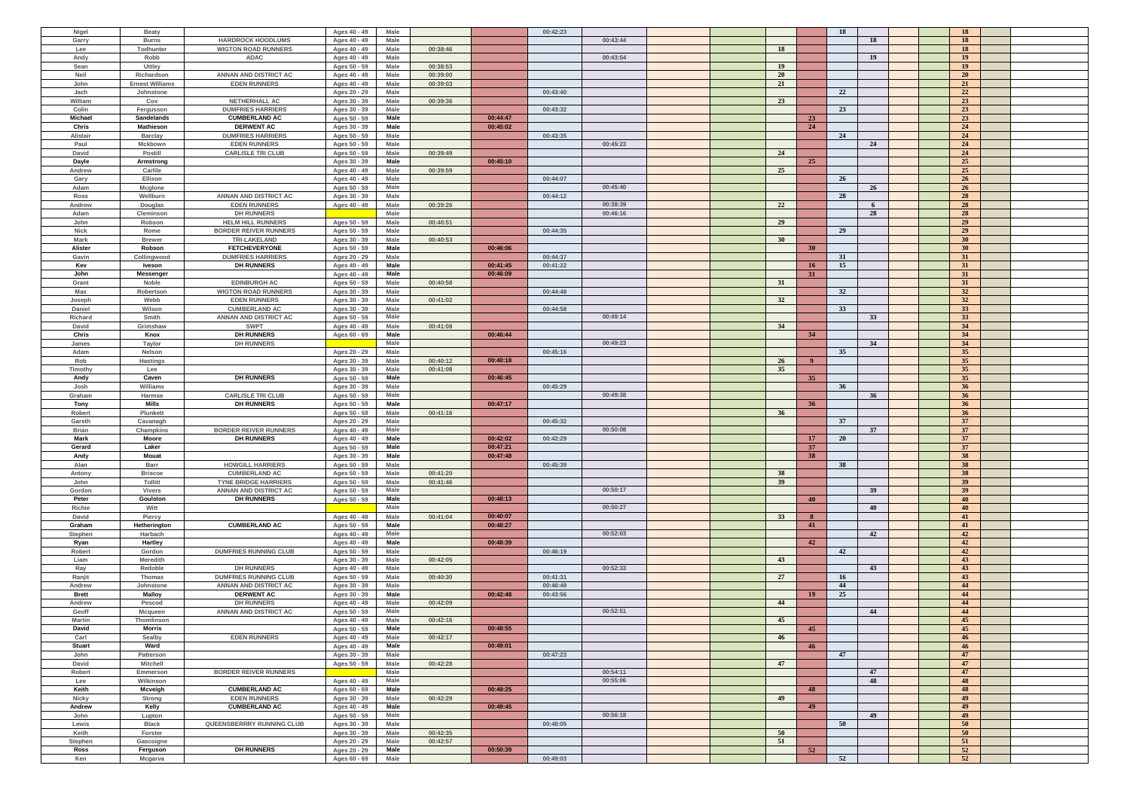| Nigel         | <b>Beaty</b>           |                              | Ages 40 - 49 | Male |          |          | 00:42:23 |           |                 | 18        | 18              |  |
|---------------|------------------------|------------------------------|--------------|------|----------|----------|----------|-----------|-----------------|-----------|-----------------|--|
| Garry         | <b>Burns</b>           | <b>HARDROCK HOODLUMS</b>     | Ages 40 - 49 | Male |          |          | 00:43:44 |           |                 | 18        | 18              |  |
|               |                        |                              |              |      |          |          |          |           |                 |           |                 |  |
| Lee           | Todhunter              | <b>WIGTON ROAD RUNNERS</b>   | Ages 40 - 49 | Male | 00:38:46 |          |          | <b>18</b> |                 |           | 18              |  |
| Andy          | Robb                   | ADAC                         | Ages 40 - 49 | Male |          |          | 00:43:54 |           |                 | 19        | 19              |  |
| Sean          | <b>Uttley</b>          |                              | Ages 50 - 59 | Male | 00:38:53 |          |          | <b>19</b> |                 |           | 19              |  |
| Neil          | Richardson             | ANNAN AND DISTRICT AC        | Ages 40 - 49 | Male | 00:39:00 |          |          | <b>20</b> |                 |           | <b>20</b>       |  |
| John          | <b>Ernest Williams</b> | <b>EDEN RUNNERS</b>          | Ages 40 - 49 | Male | 00:39:03 |          |          | 21        |                 |           | 21              |  |
| Jach          | Johnstone              |                              | Ages 20 - 29 | Male |          |          | 00:43:40 |           |                 | 22        | 22              |  |
|               |                        |                              |              |      |          |          |          |           |                 |           |                 |  |
| William       | Cox                    | NETHERHALL AC                | Ages 30 - 39 | Male | 00:39:36 |          |          | 23        |                 |           | 23              |  |
| Colin         | Fergusson              | <b>DUMFRIES HARRIERS</b>     | Ages 30 - 39 | Male |          |          | 00:43:32 |           |                 | 23        | 23              |  |
| Michael       | Sandelands             | <b>CUMBERLAND AC</b>         | Ages 50 - 59 | Male |          | 00:44:47 |          |           | 23              |           | 23              |  |
| Chris         | Mathieson              | <b>DERWENT AC</b>            | Ages 30 - 39 | Male |          | 00:45:02 |          |           | 24              |           | 24              |  |
| Alistair      |                        | <b>DUMFRIES HARRIERS</b>     | Ages 50 - 59 | Male |          |          | 00:43:35 |           |                 | 24        | 24              |  |
|               | <b>Barclay</b>         |                              |              |      |          |          |          |           |                 |           |                 |  |
| Paul          | Mckbown                | <b>EDEN RUNNERS</b>          | Ages 50 - 59 | Male |          |          | 00:45:23 |           |                 | 24        | 24              |  |
| David         | Postill                | <b>CARLISLE TRI CLUB</b>     | Ages 50 - 59 | Male | 00:39:49 |          |          | 24        |                 |           | 24              |  |
| Dayle         | Armstrong              |                              | Ages 30 - 39 | Male |          | 00:45:10 |          |           | 25              |           | 25              |  |
| Andrew        | Carlile                |                              | Ages 40 - 49 | Male | 00:39:59 |          |          | 25        |                 |           | 25              |  |
|               |                        |                              |              |      |          |          |          |           |                 | 26        | 26              |  |
| Gary          | Ellison                |                              | Ages 40 - 49 | Male |          |          | 00:44:07 |           |                 |           |                 |  |
| Adam          | Mcglone                |                              | Ages 50 - 59 | Male |          |          | 00:45:40 |           |                 | 26        | 26              |  |
| Ross          | Wellburn               | ANNAN AND DISTRICT AC        | Ages 30 - 39 | Male |          |          | 00:44:12 |           |                 | 28        | 28              |  |
| Andrew        | Douglas                | <b>EDEN RUNNERS</b>          | Ages 40 - 49 | Male | 00:39:26 |          | 00:38:39 | 22        |                 | 6         | 28              |  |
| Adam          | Cleminson              | <b>DH RUNNERS</b>            |              | Male |          |          | 00:46:16 |           |                 | 28        | 28              |  |
| John          | Robson                 | <b>HELM HILL RUNNERS</b>     | Ages 50 - 59 | Male | 00:40:51 |          |          | 29        |                 |           | 29              |  |
|               |                        |                              |              |      |          |          |          |           |                 |           |                 |  |
| <b>Nick</b>   | Rome                   | <b>BORDER REIVER RUNNERS</b> | Ages 50 - 59 | Male |          |          | 00:44:35 |           |                 | 29        | 29              |  |
| Mark          | <b>Brewer</b>          | <b>TRI-LAKELAND</b>          | Ages 30 - 39 | Male | 00:40:53 |          |          | 30        |                 |           | 30 <sup>°</sup> |  |
| Alister       | Robson                 | <b>FETCHEVERYONE</b>         | Ages 50 - 59 | Male |          | 00:46:06 |          |           | 30 <sup>°</sup> |           | 30 <sup>°</sup> |  |
| Gavin         | Collingwood            | <b>DUMFRIES HARRIERS</b>     | Ages 20 - 29 | Male |          |          | 00:44:37 |           |                 | 31        | 31              |  |
| Kev           | Iveson                 | <b>DH RUNNERS</b>            | Ages 40 - 49 | Male |          | 00:41:45 | 00:41:22 |           | <b>16</b>       | 15        | 31              |  |
| John          |                        |                              | Ages 40 - 49 | Male |          | 00:46:09 |          |           | 31              |           | 31              |  |
|               | Messenger              |                              |              |      |          |          |          |           |                 |           |                 |  |
| Grant         | Noble                  | <b>EDINBURGH AC</b>          | Ages 50 - 59 | Male | 00:40:58 |          |          | 31        |                 |           | 31              |  |
| Max           | Robertson              | <b>WIGTON ROAD RUNNERS</b>   | Ages 30 - 39 | Male |          |          | 00:44:48 |           |                 | 32        | 32              |  |
| Joseph        | Webb                   | <b>EDEN RUNNERS</b>          | Ages 30 - 39 | Male | 00:41:02 |          |          | 32        |                 |           | 32              |  |
| Daniel        | Wilson                 | <b>CUMBERLAND AC</b>         | Ages 30 - 39 | Male |          |          | 00:44:58 |           |                 | 33        | 33 <sup>3</sup> |  |
| Richard       | Smith                  | ANNAN AND DISTRICT AC        | Ages 50 - 59 | Male |          |          | 00:49:14 |           |                 | 33        | 33 <sup>3</sup> |  |
|               |                        |                              |              |      |          |          |          |           |                 |           |                 |  |
| David         | Grimshaw               | <b>SWPT</b>                  | Ages 40 - 49 | Male | 00:41:08 |          |          | 34        |                 |           | 34              |  |
| Chris         | Knox                   | <b>DH RUNNERS</b>            | Ages 60 - 69 | Male |          | 00:46:44 |          |           | 34              |           | 34              |  |
| James         | Taylor                 | <b>DH RUNNERS</b>            |              | Male |          |          | 00:49:23 |           |                 | 34        | 34              |  |
| Adam          | Nelson                 |                              | Ages 20 - 29 | Male |          |          | 00:45:16 |           |                 | 35        | 35              |  |
|               |                        |                              |              | Male | 00:40:12 | 00:40:18 |          | <b>26</b> | - 9             |           | 35              |  |
| Rob           | <b>Hastings</b>        |                              | Ages 30 - 39 |      |          |          |          |           |                 |           |                 |  |
| Timothy       | Lee                    |                              | Ages 30 - 39 | Male | 00:41:08 |          |          | 35        |                 |           | 35              |  |
| Andy          | Caven                  | <b>DH RUNNERS</b>            | Ages 50 - 59 | Male |          | 00:46:45 |          |           | 35 <sup>2</sup> |           | 35 <sup>5</sup> |  |
| Josh          | Williams               |                              | Ages 30 - 39 | Male |          |          | 00:45:29 |           |                 | 36        | 36 <sup>°</sup> |  |
| Graham        | Harmse                 | <b>CARLISLE TRI CLUB</b>     | Ages 50 - 59 | Male |          |          | 00:49:38 |           |                 | 36        | 36              |  |
| <b>Tony</b>   | <b>Mills</b>           | <b>DH RUNNERS</b>            | Ages 50 - 59 | Male |          | 00:47:17 |          |           | 36 <sup>°</sup> |           | 36 <sup>°</sup> |  |
|               |                        |                              |              |      |          |          |          |           |                 |           |                 |  |
| Robert        | Plunkett               |                              | Ages 50 - 59 | Male | 00:41:16 |          |          | 36        |                 |           | 36              |  |
| Gareth        | Cavanagh               |                              | Ages 20 - 29 | Male |          |          | 00:45:32 |           |                 | 37        | 37              |  |
| <b>Brian</b>  | Champkins              | <b>BORDER REIVER RUNNERS</b> | Ages 40 - 49 | Male |          |          | 00:50:08 |           |                 | 37        | 37              |  |
| Mark          | Moore                  | <b>DH RUNNERS</b>            | Ages 40 - 49 | Male |          | 00:42:02 | 00:42:29 |           | 17              | <b>20</b> | 37              |  |
| Gerard        | Laker                  |                              | Ages 50 - 59 | Male |          | 00:47:21 |          |           | 37              |           | 37              |  |
|               |                        |                              |              |      |          |          |          |           |                 |           |                 |  |
| Andy          | <b>Mouat</b>           |                              | Ages 30 - 39 | Male |          | 00:47:48 |          |           | 38              |           | 38              |  |
| Alan          | Barr                   | <b>HOWGILL HARRIERS</b>      | Ages 50 - 59 | Male |          |          | 00:45:39 |           |                 | 38        | 38              |  |
| Antony        | <b>Briscoe</b>         | <b>CUMBERLAND AC</b>         | Ages 50 - 59 | Male | 00:41:20 |          |          | 38        |                 |           | 38              |  |
| John          | Tollitt                | <b>TYNE BRIDGE HARRIERS</b>  | Ages 50 - 59 | Male | 00:41:46 |          |          | 39        |                 |           | 39 <sup>°</sup> |  |
| Gordon        | <b>Vivers</b>          | ANNAN AND DISTRICT AC        | Ages 50 - 59 | Male |          |          | 00:50:17 |           |                 | 39        | 39 <sup>°</sup> |  |
|               |                        |                              |              |      |          |          |          |           |                 |           |                 |  |
| Peter         | Goulston               | <b>DH RUNNERS</b>            | Ages 50 - 59 | Male |          | 00:48:13 |          |           | 40              |           | 40              |  |
| Richie        | Witt                   |                              |              | Male |          |          | 00:50:27 |           |                 | 40        | 40              |  |
| David         | Piercy                 |                              | Ages 40 - 49 | Male | 00:41:04 | 00:40:07 |          | 33        | -8              |           | 41              |  |
| Graham        | Hetherington           | <b>CUMBERLAND AC</b>         | Ages 50 - 59 | Male |          | 00:48:27 |          |           | 41              |           | 41              |  |
| Stephen       | Harbach                |                              | Ages 40 - 49 | Male |          |          | 00:52:03 |           |                 | 42        | 42              |  |
| Ryan          | Hartley                |                              |              | Male |          | 00:48:39 |          |           | 42              |           | 42              |  |
|               |                        |                              | Ages 40 - 49 |      |          |          |          |           |                 |           |                 |  |
| Robert        | Gordon                 | <b>DUMFRIES RUNNING CLUB</b> | Ages 50 - 59 | Male |          |          | 00:46:19 |           |                 | 42        | 42              |  |
| Liam          | <b>Meredith</b>        |                              | Ages 30 - 39 | Male | 00:42:05 |          |          | 43        |                 |           | 43              |  |
| Ray           | Redoble                | <b>DH RUNNERS</b>            | Ages 40 - 49 | Male |          |          | 00:52:33 |           |                 | 43        | 43              |  |
| Ranjit        | Thomas                 | <b>DUMFRIES RUNNING CLUB</b> | Ages 50 - 59 | Male | 00:40:30 |          | 00:41:31 | 27        |                 | 16        | 43              |  |
| Andrew        | Johnstone              | ANNAN AND DISTRICT AC        | Ages 30 - 39 | Male |          |          | 00:46:49 |           |                 | 44        | 44              |  |
| <b>Brett</b>  | <b>Malloy</b>          | <b>DERWENT AC</b>            |              | Male |          | 00:42:48 | 00:43:56 |           | 19              | 25        | 44              |  |
|               |                        |                              | Ages 30 - 39 |      |          |          |          |           |                 |           |                 |  |
| Andrew        | Pescod                 | <b>DH RUNNERS</b>            | Ages 40 - 49 | Male | 00:42:09 |          |          | 44        |                 |           | 44              |  |
| Geoff         | Mcqueen                | ANNAN AND DISTRICT AC        | Ages 50 - 59 | Male |          |          | 00:52:51 |           |                 | 44        | 44              |  |
| Martin        | Thomlinson             |                              | Ages 40 - 49 | Male | 00:42:16 |          |          | 45        |                 |           | 45              |  |
| David         | Morris                 |                              | Ages 50 - 59 | Male |          | 00:48:55 |          |           | 45              |           | 45              |  |
| Carl          | Sealby                 | <b>EDEN RUNNERS</b>          | Ages 40 - 49 | Male | 00:42:17 |          |          | -46       |                 |           | 46              |  |
|               |                        |                              |              |      |          |          |          |           |                 |           |                 |  |
| <b>Stuart</b> | Ward                   |                              | Ages 40 - 49 | Male |          | 00:49:01 |          |           | 46              |           | 46              |  |
| John          | Patterson              |                              | Ages 30 - 39 | Male |          |          | 00:47:23 |           |                 | 47        | 47              |  |
| David         | Mitchell               |                              | Ages 50 - 59 | Male | 00:42:28 |          |          | 47        |                 |           | 47              |  |
| Robert        | Emmerson               | <b>BORDER REIVER RUNNERS</b> |              | Male |          |          | 00:54:11 |           |                 | 47        | 47              |  |
| Lee           | Wilkinson              |                              | Ages 40 - 49 | Male |          |          | 00:55:06 |           |                 | 48        | 48              |  |
|               |                        |                              |              |      |          |          |          |           |                 |           |                 |  |
| Keith         | Mcveigh                | <b>CUMBERLAND AC</b>         | Ages 60 - 69 | Male |          | 00:49:25 |          |           | 48              |           | 48              |  |
| <b>Nicky</b>  | Strong                 | <b>EDEN RUNNERS</b>          | Ages 30 - 39 | Male | 00:42:29 |          |          | 49        |                 |           | 49              |  |
| Andrew        | Kelly                  | <b>CUMBERLAND AC</b>         | Ages 40 - 49 | Male |          | 00:49:45 |          |           | 49              |           | 49              |  |
| John          | Lupton                 |                              | Ages 50 - 59 | Male |          |          | 00:56:18 |           |                 | 49        | 49              |  |
| Lewis         | <b>Black</b>           | QUEENSBERRRY RUNNING CLUB    | Ages 30 - 39 | Male |          |          | 00:48:05 |           |                 | 50        | 50              |  |
|               |                        |                              |              |      |          |          |          |           |                 |           |                 |  |
| Keith         | Forster                |                              | Ages 30 - 39 | Male | 00:42:35 |          |          | 50        |                 |           | 50              |  |
| Stephen       | Gascoigne              |                              | Ages 20 - 29 | Male | 00:42:57 |          |          | 51        |                 |           | 51              |  |
| Ross          | Ferguson               | <b>DH RUNNERS</b>            | Ages 20 - 29 | Male |          | 00:50:39 |          |           | 52              |           | 52              |  |
| Ken           | Mcgarva                |                              | Ages 60 - 69 | Male |          |          | 00:49:03 |           |                 | 52        | 52              |  |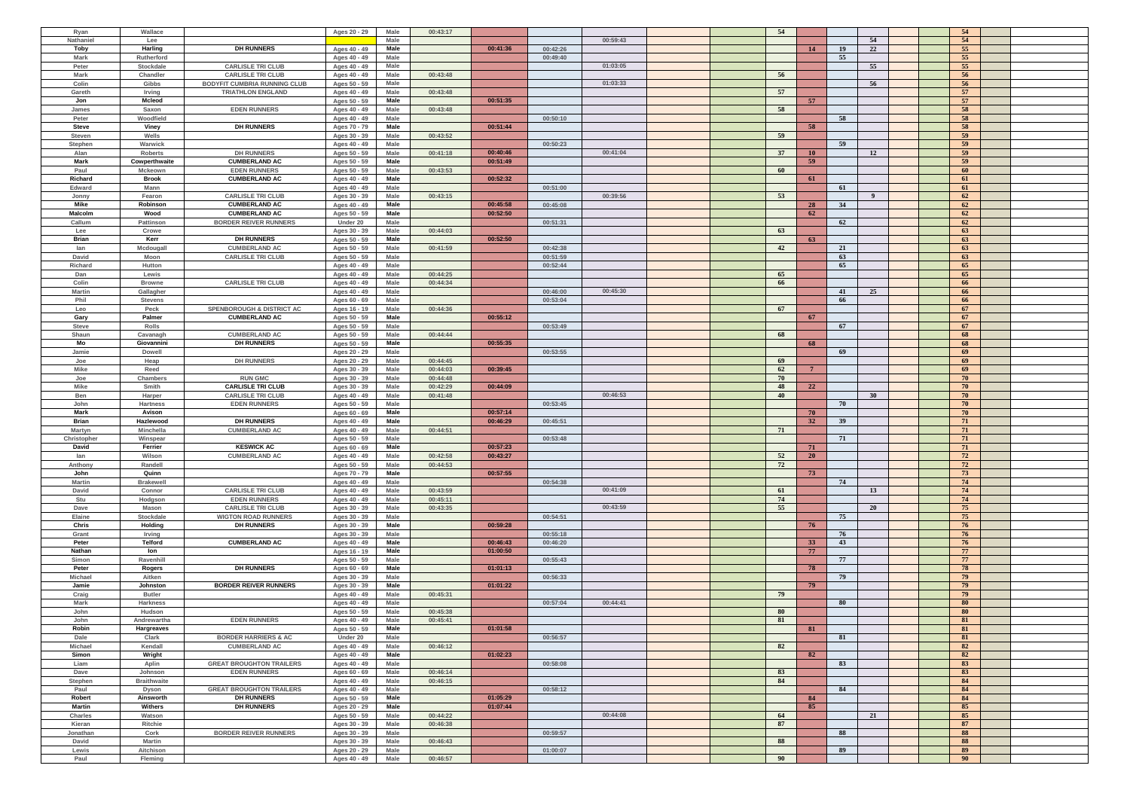| Ryan           | Wallace              |                                      | Ages 20 - 29                 | Male         | 00:43:17 |          |          |          |  | 54   |                |    |                         | 54       |  |
|----------------|----------------------|--------------------------------------|------------------------------|--------------|----------|----------|----------|----------|--|------|----------------|----|-------------------------|----------|--|
| Nathaniel      | Lee                  |                                      |                              | Male         |          |          |          | 00:59:43 |  |      |                |    | 54                      | 54       |  |
|                |                      |                                      |                              |              |          |          |          |          |  |      |                |    |                         |          |  |
| Toby           | Harling              | <b>DH RUNNERS</b>                    | Ages 40 - 49                 | Male         |          | 00:41:36 | 00:42:26 |          |  |      | 14             | 19 | 22                      | 55       |  |
| Mark           | Rutherford           |                                      | Ages 40 - 49                 | Male         |          |          | 00:49:40 |          |  |      |                | 55 |                         | 55       |  |
| Peter          | Stockdale            | <b>CARLISLE TRI CLUB</b>             | Ages 40 - 49                 | Male         |          |          |          | 01:03:05 |  |      |                |    | 55                      | 55       |  |
|                |                      |                                      |                              |              |          |          |          |          |  |      |                |    |                         | 56       |  |
| Mark           | Chandler             | <b>CARLISLE TRI CLUB</b>             | Ages 40 - 49                 | Male         | 00:43:48 |          |          |          |  | 56   |                |    |                         |          |  |
| Colin          | Gibbs                | <b>BODYFIT CUMBRIA RUNNING CLUB</b>  | Ages 50 - 59                 | Male         |          |          |          | 01:03:33 |  |      |                |    | 56                      | 56       |  |
| Gareth         | Irving               | <b>TRIATHLON ENGLAND</b>             | Ages 40 - 49                 | Male         | 00:43:48 |          |          |          |  | 57   |                |    |                         | 57       |  |
| Jon            | Mcleod               |                                      | Ages 50 - 59                 | Male         |          | 00:51:35 |          |          |  |      | 57             |    |                         | 57       |  |
| James          | Saxon                | <b>EDEN RUNNERS</b>                  | Ages 40 - 49                 | Male         | 00:43:48 |          |          |          |  | 58   |                |    |                         | 58       |  |
|                |                      |                                      |                              |              |          |          |          |          |  |      |                |    |                         |          |  |
| Peter          | Woodfield            |                                      | Ages 40 - 49                 | Male         |          |          | 00:50:10 |          |  |      |                | 58 |                         | 58       |  |
| <b>Steve</b>   | Viney                | <b>DH RUNNERS</b>                    | Ages 70 - 79                 | Male         |          | 00:51:44 |          |          |  |      | 58             |    |                         | 58       |  |
| Steven         | Wells                |                                      | Ages 30 - 39                 | Male         | 00:43:52 |          |          |          |  | 59   |                |    |                         | 59       |  |
| Stephen        | Warwick              |                                      | Ages 40 - 49                 | Male         |          |          | 00:50:23 |          |  |      |                | 59 |                         | 59       |  |
|                |                      |                                      |                              |              |          |          |          | 00:41:04 |  |      |                |    |                         |          |  |
| Alan           | Roberts              | <b>DH RUNNERS</b>                    | Ages 50 - 59                 | Male         | 00:41:18 | 00:40:46 |          |          |  | 37   | 10             |    | 12                      | 59       |  |
| Mark           | Cowperthwaite        | <b>CUMBERLAND AC</b>                 | Ages 50 - 59                 | Male         |          | 00:51:49 |          |          |  |      | 59             |    |                         | 59       |  |
| Paul           | <b>Mckeown</b>       | <b>EDEN RUNNERS</b>                  | Ages 50 - 59                 | Male         | 00:43:53 |          |          |          |  | -60  |                |    |                         | 60       |  |
| Richard        | <b>Brook</b>         | <b>CUMBERLAND AC</b>                 | Ages 40 - 49                 | Male         |          | 00:52:32 |          |          |  |      | 61             |    |                         | 61       |  |
|                |                      |                                      |                              |              |          |          |          |          |  |      |                |    |                         |          |  |
| Edward         | Mann                 |                                      | Ages 40 - 49                 | Male         |          |          | 00:51:00 |          |  |      |                | 61 |                         | 61       |  |
| Jonny          | Fearon               | <b>CARLISLE TRI CLUB</b>             | Ages 30 - 39                 | Male         | 00:43:15 |          |          | 00:39:56 |  | 53   |                |    | $\overline{\mathbf{9}}$ | 62       |  |
| Mike           | Robinson             | <b>CUMBERLAND AC</b>                 | Ages 40 - 49                 | Male         |          | 00:45:58 | 00:45:08 |          |  |      | 28             | 34 |                         | 62       |  |
| Malcolm        | Wood                 | <b>CUMBERLAND AC</b>                 | Ages 50 - 59                 | Male         |          | 00:52:50 |          |          |  |      | 62             |    |                         | 62       |  |
| Callum         | Pattinson            | <b>BORDER REIVER RUNNERS</b>         | Under 20                     | Male         |          |          | 00:51:31 |          |  |      |                | 62 |                         | 62       |  |
|                |                      |                                      |                              |              |          |          |          |          |  |      |                |    |                         |          |  |
| Lee            | Crowe                |                                      | Ages 30 - 39                 | Male         | 00:44:03 |          |          |          |  | 63   |                |    |                         | 63       |  |
| Brian          | Kerr                 | <b>DH RUNNERS</b>                    | Ages 50 - 59                 | Male         |          | 00:52:50 |          |          |  |      | 63             |    |                         | 63       |  |
| lan            | Mcdougall            | <b>CUMBERLAND AC</b>                 | Ages 50 - 59                 | Male         | 00:41:59 |          | 00:42:38 |          |  | 42   |                | 21 |                         | 63       |  |
| David          | Moon                 | <b>CARLISLE TRI CLUB</b>             | Ages 50 - 59                 | Male         |          |          | 00:51:59 |          |  |      |                | 63 |                         | 63       |  |
|                |                      |                                      |                              |              |          |          |          |          |  |      |                | 65 |                         | 65       |  |
| Richard        | Hutton               |                                      | Ages 40 - 49                 | Male         |          |          | 00:52:44 |          |  |      |                |    |                         |          |  |
| Dan            | Lewis                |                                      | Ages 40 - 49                 | Male         | 00:44:25 |          |          |          |  | 65   |                |    |                         | 65       |  |
| Colin          | <b>Browne</b>        | <b>CARLISLE TRI CLUB</b>             | Ages 40 - 49                 | Male         | 00:44:34 |          |          |          |  | 66   |                |    |                         | 66       |  |
| Martin         | Gallagher            |                                      | Ages 40 - 49                 | Male         |          |          | 00:46:00 | 00:45:30 |  |      |                | 41 | 25                      | 66       |  |
| Phil           | <b>Stevens</b>       |                                      | Ages 60 - 69                 | Male         |          |          | 00:53:04 |          |  |      |                | 66 |                         | 66       |  |
|                |                      |                                      |                              |              |          |          |          |          |  |      |                |    |                         |          |  |
| Leo            | Peck                 | <b>SPENBOROUGH &amp; DISTRICT AC</b> | Ages 16 - 19                 | Male         | 00:44:36 |          |          |          |  | 67   |                |    |                         | 67       |  |
| Gary           | Palmer               | <b>CUMBERLAND AC</b>                 | Ages 50 - 59                 | Male         |          | 00:55:12 |          |          |  |      | 67             |    |                         | 67       |  |
| <b>Steve</b>   | Rolls                |                                      | Ages 50 - 59                 | Male         |          |          | 00:53:49 |          |  |      |                | 67 |                         | 67       |  |
| Shaun          | Cavanagh             | <b>CUMBERLAND AC</b>                 | Ages 50 - 59                 | Male         | 00:44:44 |          |          |          |  | 68   |                |    |                         | 68       |  |
|                |                      |                                      |                              |              |          |          |          |          |  |      |                |    |                         |          |  |
| Mo             | Giovannini           | <b>DH RUNNERS</b>                    | Ages 50 - 59                 | Male         |          | 00:55:35 |          |          |  |      | 68             |    |                         | 68       |  |
| Jamie          | <b>Dowell</b>        |                                      | Ages 20 - 29                 | Male         |          |          | 00:53:55 |          |  |      |                | 69 |                         | 69       |  |
| Joe            | Heap                 | <b>DH RUNNERS</b>                    | Ages 20 - 29                 | Male         | 00:44:45 |          |          |          |  | 69   |                |    |                         | 69       |  |
| <b>Mike</b>    | Reed                 |                                      | Ages 30 - 39                 | Male         | 00:44:03 | 00:39:45 |          |          |  | 62   | $\overline{7}$ |    |                         | 69       |  |
|                |                      |                                      |                              |              |          |          |          |          |  |      |                |    |                         |          |  |
| Joe            | Chambers             | <b>RUN GMC</b>                       | Ages 30 - 39                 | Male         | 00:44:48 |          |          |          |  | 70   |                |    |                         | 70       |  |
| <b>Mike</b>    | Smith                | <b>CARLISLE TRI CLUB</b>             | Ages 30 - 39                 | Male         | 00:42:29 | 00:44:09 |          |          |  | 48   | 22             |    |                         | 70       |  |
| Ben            | Harper               | <b>CARLISLE TRI CLUB</b>             | Ages 40 - 49                 | Male         | 00:41:48 |          |          | 00:46:53 |  | 40   |                |    | 30                      | 70       |  |
| John           | <b>Hartness</b>      | <b>EDEN RUNNERS</b>                  | Ages 50 - 59                 | Male         |          |          | 00:53:45 |          |  |      |                | 70 |                         | 70       |  |
|                |                      |                                      |                              |              |          |          |          |          |  |      |                |    |                         |          |  |
| Mark           | Avison               |                                      | Ages 60 - 69                 | Male         |          | 00:57:14 |          |          |  |      | 70             |    |                         | 70       |  |
| Brian          | Hazlewood            | <b>DH RUNNERS</b>                    | Ages 40 - 49                 | Male         |          | 00:46:29 | 00:45:51 |          |  |      | 32             | 39 |                         | 71       |  |
| Martyn         | Minchella            | <b>CUMBERLAND AC</b>                 | Ages 40 - 49                 | Male         | 00:44:51 |          |          |          |  | - 71 |                |    |                         | 71       |  |
| Christopher    | Winspear             |                                      | Ages 50 - 59                 | Male         |          |          | 00:53:48 |          |  |      |                | 71 |                         | 71       |  |
|                |                      |                                      |                              |              |          |          |          |          |  |      |                |    |                         |          |  |
| David          | Ferrier              | <b>KESWICK AC</b>                    | Ages 60 - 69                 | Male         |          | 00:57:23 |          |          |  |      | 71             |    |                         | 71       |  |
| lan            | Wilson               | <b>CUMBERLAND AC</b>                 | Ages 40 - 49                 | Male         | 00:42:58 | 00:43:27 |          |          |  | 52   | <b>20</b>      |    |                         | 72       |  |
| Anthony        | Randell              |                                      | Ages 50 - 59                 | Male         | 00:44:53 |          |          |          |  | 72   |                |    |                         | 72       |  |
| John           | Quinn                |                                      | Ages 70 - 79                 | Male         |          | 00:57:55 |          |          |  |      | 73             |    |                         | 73       |  |
| <b>Martin</b>  | <b>Brakewell</b>     |                                      | Ages 40 - 49                 | Male         |          |          | 00:54:38 |          |  |      |                | 74 |                         | 74       |  |
|                |                      |                                      |                              |              |          |          |          |          |  |      |                |    |                         |          |  |
| David          | Connor               | <b>CARLISLE TRI CLUB</b>             | Ages 40 - 49                 | Male         | 00:43:59 |          |          | 00:41:09 |  | 61   |                |    | 13                      | 74       |  |
| Stu            | Hodgson              | <b>EDEN RUNNERS</b>                  | Ages 40 - 49                 | Male         | 00:45:11 |          |          |          |  | 74   |                |    |                         | 74       |  |
| Dave           | <b>Mason</b>         | <b>CARLISLE TRI CLUB</b>             | Ages 30 - 39                 | Male         | 00:43:35 |          |          | 00:43:59 |  | 55   |                |    | 20                      | 75       |  |
| Elaine         | Stockdale            | <b>WIGTON ROAD RUNNERS</b>           | Ages 30 - 39                 | Male         |          |          | 00:54:51 |          |  |      |                | 75 |                         | 75       |  |
|                | Holding              | <b>DH RUNNERS</b>                    |                              |              |          |          |          |          |  |      |                |    |                         |          |  |
| <b>Chris</b>   |                      |                                      | Ages 30 - 39                 | Male         |          | 00:59:28 |          |          |  |      | 76             |    |                         | 76       |  |
| Grant          | Irving               |                                      | Ages 30 - 39                 | Male         |          |          | 00:55:18 |          |  |      |                | 76 |                         | 76       |  |
| Peter          | Telford              | <b>CUMBERLAND AC</b>                 | Ages 40 - 49                 | Male         |          | 00:46:43 | 00:46:20 |          |  |      | 33             | 43 |                         | 76       |  |
| Nathan         | lon                  |                                      | Ages 16 - 19                 | Male         |          | 01:00:50 |          |          |  |      | 77             |    |                         | 77       |  |
| Simon          | Ravenhill            |                                      | Ages 50 - 59                 | Male         |          |          | 00:55:43 |          |  |      |                | 77 |                         | 77       |  |
|                |                      |                                      |                              |              |          |          |          |          |  |      | 78             |    |                         | 78       |  |
| Peter          | Rogers               | <b>DH RUNNERS</b>                    | Ages 60 - 69                 | Male         |          | 01:01:13 |          |          |  |      |                |    |                         |          |  |
| <b>Michael</b> | Aitken               |                                      | Ages 30 - 39                 | Male         |          |          | 00:56:33 |          |  |      |                | 79 |                         | 79       |  |
| Jamie          | Johnston             | <b>BORDER REIVER RUNNERS</b>         | Ages 30 - 39                 | Male         |          | 01:01:22 |          |          |  |      | 79             |    |                         | 79       |  |
| Craig          | <b>Butler</b>        |                                      | Ages 40 - 49                 | Male         | 00:45:31 |          |          |          |  | 79   |                |    |                         | 79       |  |
| Mark           | Harkness             |                                      | Ages 40 - 49                 | Male         |          |          | 00:57:04 | 00:44:41 |  |      |                | 80 |                         | 80       |  |
|                |                      |                                      |                              |              |          |          |          |          |  | 80   |                |    |                         | 80       |  |
| John           | Hudson               |                                      | Ages 50 - 59                 | Male         | 00:45:38 |          |          |          |  |      |                |    |                         |          |  |
| John           | Andrewartha          | <b>EDEN RUNNERS</b>                  | Ages 40 - 49                 | Male         | 00:45:41 |          |          |          |  | 81   |                |    |                         | 81       |  |
| Robin          | Hargreaves           |                                      | Ages 50 - 59                 | Male         |          | 01:01:58 |          |          |  |      | 81             |    |                         | 81       |  |
| Dale           | Clark                | <b>BORDER HARRIERS &amp; AC</b>      | Under 20                     | Male         |          |          | 00:56:57 |          |  |      |                | 81 |                         | 81       |  |
| Michael        | Kendall              | <b>CUMBERLAND AC</b>                 | Ages 40 - 49                 | Male         | 00:46:12 |          |          |          |  | 82   |                |    |                         | 82       |  |
| Simon          |                      |                                      |                              | Male         |          |          |          |          |  |      |                |    |                         |          |  |
|                |                      |                                      | Ages 40 - 49                 |              |          | 01:02:23 |          |          |  |      | 82             |    |                         | 82       |  |
|                | Wright               |                                      |                              | Male         |          |          | 00:58:08 |          |  |      |                | 83 |                         | 83       |  |
| Liam           | Aplin                | <b>GREAT BROUGHTON TRAILERS</b>      | Ages 40 - 49                 |              |          |          |          |          |  | 83   |                |    |                         | 83       |  |
| Dave           | Johnson              | <b>EDEN RUNNERS</b>                  | Ages 60 - 69                 | Male         | 00:46:14 |          |          |          |  |      |                |    |                         |          |  |
|                |                      |                                      |                              |              |          |          |          |          |  |      |                |    |                         |          |  |
| Stephen        | <b>Braithwaite</b>   |                                      | Ages 40 - 49                 | Male         | 00:46:15 |          |          |          |  | 84   |                |    |                         | 84       |  |
| Paul           | Dyson                | <b>GREAT BROUGHTON TRAILERS</b>      | Ages 40 - 49                 | Male         |          |          | 00:58:12 |          |  |      |                | 84 |                         | 84       |  |
| <b>Robert</b>  | Ainsworth            | <b>DH RUNNERS</b>                    | Ages 50 - 59                 | Male         |          | 01:05:29 |          |          |  |      | 84             |    |                         | 84       |  |
| <b>Martin</b>  | Withers              | <b>DH RUNNERS</b>                    | Ages 20 - 29                 | Male         |          | 01:07:44 |          |          |  |      | 85             |    |                         | 85       |  |
| Charles        | Watson               |                                      | Ages 50 - 59                 | Male         | 00:44:22 |          |          | 00:44:08 |  | - 64 |                |    | 21                      | 85       |  |
| Kieran         | Ritchie              |                                      |                              | Male         | 00:46:38 |          |          |          |  | 87   |                |    |                         | 87       |  |
|                |                      |                                      | Ages 30 - 39                 |              |          |          |          |          |  |      |                |    |                         |          |  |
| Jonathan       | Cork                 | <b>BORDER REIVER RUNNERS</b>         | Ages 30 - 39                 | Male         |          |          | 00:59:57 |          |  |      |                | 88 |                         | 88       |  |
| David          | <b>Martin</b>        |                                      | Ages 30 - 39                 | Male         | 00:46:43 |          |          |          |  | 88   |                |    |                         | 88       |  |
| Lewis<br>Paul  | Aitchison<br>Fleming |                                      | Ages 20 - 29<br>Ages 40 - 49 | Male<br>Male | 00:46:57 |          | 01:00:07 |          |  | 90   |                | 89 |                         | 89<br>90 |  |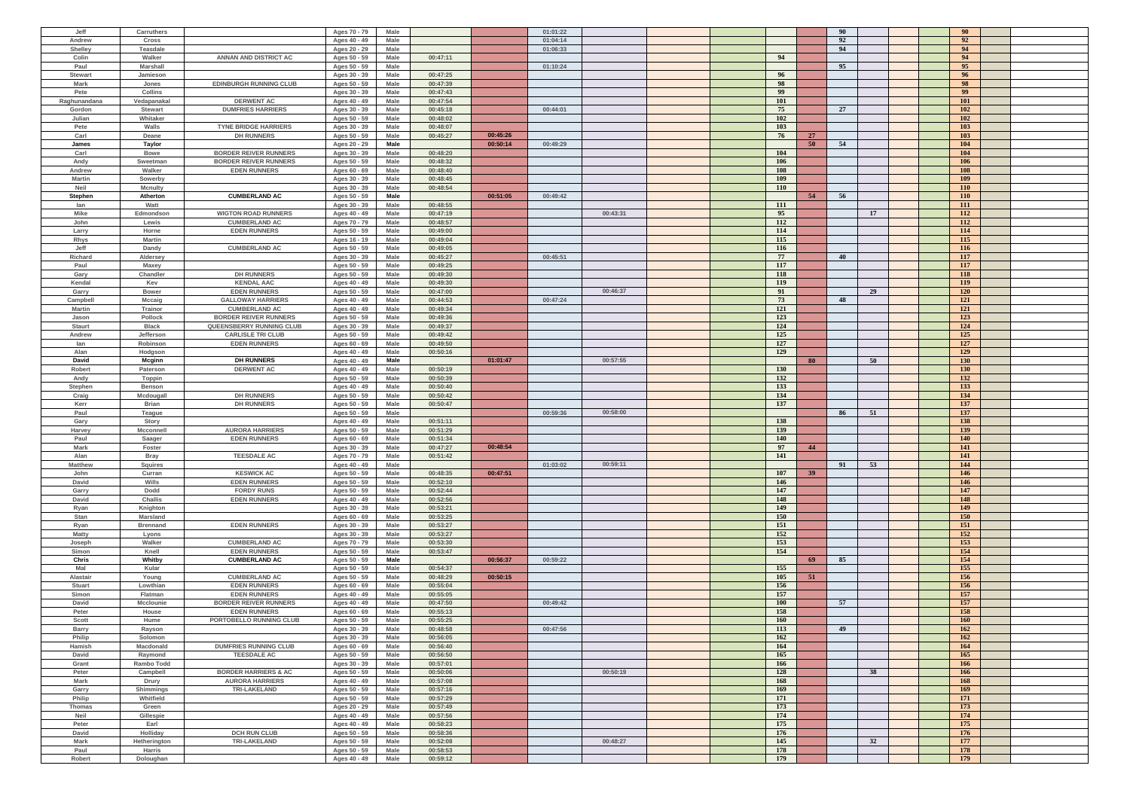| Jeff           | Carruthers      |                                 | Ages 70 - 79 | Male        |          |          | 01:01:22             |            |    | 90       | 90         |  |
|----------------|-----------------|---------------------------------|--------------|-------------|----------|----------|----------------------|------------|----|----------|------------|--|
| Andrew         | Cross           |                                 | Ages 40 - 49 | Male        |          |          | 01:04:14             |            |    | 92       | 92         |  |
|                |                 |                                 |              |             |          |          |                      |            |    |          |            |  |
| Shelley        | <b>Teasdale</b> |                                 | Ages 20 - 29 | Male        |          |          | 01:06:33             |            |    | 94       | 94         |  |
| Colin          | Walker          | ANNAN AND DISTRICT AC           | Ages 50 - 59 | Male        | 00:47:11 |          |                      | 94         |    |          | 94         |  |
| Paul           | Marshall        |                                 | Ages 50 - 59 | Male        |          |          | 01:10:24             |            |    | 95       | 95         |  |
| <b>Stewart</b> | Jamieson        |                                 | Ages 30 - 39 | Male        | 00:47:25 |          |                      | 96         |    |          | 96         |  |
| <b>Mark</b>    | Jones           | <b>EDINBURGH RUNNING CLUB</b>   | Ages 50 - 59 | Male        | 00:47:39 |          |                      | 98         |    |          | 98         |  |
| Pete           | Collins         |                                 | Ages 30 - 39 | Male        | 00:47:43 |          |                      | 99         |    |          | 99         |  |
| Raghunandana   | Vedapanakal     | <b>DERWENT AC</b>               | Ages 40 - 49 | Male        | 00:47:54 |          |                      | 101        |    |          | <b>101</b> |  |
| Gordon         | <b>Stewart</b>  | <b>DUMFRIES HARRIERS</b>        | Ages 30 - 39 | Male        | 00:45:18 |          | 00:44:01             | 75         |    | 27       | 102        |  |
|                |                 |                                 |              |             |          |          |                      |            |    |          |            |  |
| Julian         | Whitaker        |                                 | Ages 50 - 59 | Male        | 00:48:02 |          |                      | 102        |    |          | 102        |  |
| Pete           | Walls           | <b>TYNE BRIDGE HARRIERS</b>     | Ages 30 - 39 | <b>Male</b> | 00:48:07 |          |                      | 103        |    |          | 103        |  |
| Carl           | Deane           | <b>DH RUNNERS</b>               | Ages 50 - 59 | Male        | 00:45:27 | 00:45:26 |                      | 76         | 27 |          | 103        |  |
| James          | Taylor          |                                 | Ages 20 - 29 | Male        |          | 00:50:14 | 00:49:29             |            | 50 | 54       | 104        |  |
| Carl           | <b>Bowe</b>     | <b>BORDER REIVER RUNNERS</b>    | Ages 30 - 39 | Male        | 00:48:20 |          |                      | 104        |    |          | 104        |  |
| Andy           | Sweetman        | <b>BORDER REIVER RUNNERS</b>    | Ages 50 - 59 | Male        | 00:48:32 |          |                      | 106        |    |          | 106        |  |
| Andrew         | Walker          | <b>EDEN RUNNERS</b>             | Ages 60 - 69 | Male        | 00:48:40 |          |                      | 108        |    |          | 108        |  |
| <b>Martin</b>  | Sowerby         |                                 | Ages 30 - 39 | Male        | 00:48:45 |          |                      | 109        |    |          | 109        |  |
| Neil           | <b>Mcnulty</b>  |                                 | Ages 30 - 39 | Male        | 00:48:54 |          |                      | <b>110</b> |    |          | <b>110</b> |  |
|                |                 |                                 |              |             |          |          |                      |            |    |          |            |  |
| <b>Stephen</b> | Atherton        | <b>CUMBERLAND AC</b>            | Ages 50 - 59 | Male        |          | 00:51:05 | 00:49:42             |            | 54 | 56       | <b>110</b> |  |
| lan            | Watt            |                                 | Ages 30 - 39 | Male        | 00:48:55 |          |                      | 111        |    |          | 111        |  |
| <b>Mike</b>    | Edmondson       | <b>WIGTON ROAD RUNNERS</b>      | Ages 40 - 49 | Male        | 00:47:19 |          | 00:43:31             | 95         |    | 17       | 112        |  |
| John           | Lewis           | <b>CUMBERLAND AC</b>            | Ages 70 - 79 | Male        | 00:48:57 |          |                      | 112        |    |          | 112        |  |
| Larry          | Horne           | <b>EDEN RUNNERS</b>             | Ages 50 - 59 | Male        | 00:49:00 |          |                      | 114        |    |          | 114        |  |
| Rhys           | <b>Martin</b>   |                                 | Ages 16 - 19 | Male        | 00:49:04 |          |                      | 115        |    |          | 115        |  |
| Jeff           | Dandy           | <b>CUMBERLAND AC</b>            | Ages 50 - 59 | Male        | 00:49:05 |          |                      | 116        |    |          | 116        |  |
| Richard        | Aldersey        |                                 | Ages 30 - 39 | Male        | 00:45:27 |          | 00:45:51             | 77         |    | 40       | 117        |  |
| Paul           | Maxey           |                                 |              | Male        | 00:49:25 |          |                      | 117        |    |          | 117        |  |
|                |                 |                                 | Ages 50 - 59 |             |          |          |                      |            |    |          |            |  |
| Gary           | Chandler        | <b>DH RUNNERS</b>               | Ages 50 - 59 | Male        | 00:49:30 |          |                      | 118        |    |          | <b>118</b> |  |
| Kendal         | Kev             | <b>KENDAL AAC</b>               | Ages 40 - 49 | Male        | 00:49:30 |          |                      | 119        |    |          | <b>119</b> |  |
| Garry          | <b>Bower</b>    | <b>EDEN RUNNERS</b>             | Ages 50 - 59 | Male        | 00:47:00 |          | 00:46:37             | 91         |    | 29       | <b>120</b> |  |
| Campbell       | Mccaig          | <b>GALLOWAY HARRIERS</b>        | Ages 40 - 49 | Male        | 00:44:53 |          | 00:47:24             | 73         |    | 48       | <b>121</b> |  |
| Martin         | Trainor         | <b>CUMBERLAND AC</b>            | Ages 40 - 49 | Male        | 00:49:34 |          |                      | 121        |    |          | 121        |  |
| Jason          | Pollock         | <b>BORDER REIVER RUNNERS</b>    | Ages 50 - 59 | Male        | 00:49:36 |          |                      | 123        |    |          | 123        |  |
| Staurt         | <b>Black</b>    | QUEENSBERRY RUNNING CLUB        | Ages 30 - 39 | Male        | 00:49:37 |          |                      | 124        |    |          | 124        |  |
| Andrew         | Jefferson       | <b>CARLISLE TRI CLUB</b>        | Ages 50 - 59 | Male        | 00:49:42 |          |                      | 125        |    |          | 125        |  |
|                |                 |                                 |              |             |          |          |                      |            |    |          |            |  |
| lan            | Robinson        | <b>EDEN RUNNERS</b>             | Ages 60 - 69 | Male        | 00:49:50 |          |                      | 127        |    |          | 127        |  |
| Alan           | Hodgson         |                                 | Ages 40 - 49 | Male        | 00:50:16 |          |                      | 129        |    |          | 129        |  |
| David          | Mcginn          | <b>DH RUNNERS</b>               | Ages 40 - 49 | Male        |          | 01:01:47 | 00:57:55             |            | 80 | 50       | 130        |  |
| Robert         | Paterson        | <b>DERWENT AC</b>               | Ages 40 - 49 | Male        | 00:50:19 |          |                      | <b>130</b> |    |          | 130        |  |
| Andy           | <b>Toppin</b>   |                                 | Ages 50 - 59 | Male        | 00:50:39 |          |                      | 132        |    |          | 132        |  |
| Stephen        | Benson          |                                 | Ages 40 - 49 | Male        | 00:50:40 |          |                      | 133        |    |          | 133        |  |
| Craig          | Mcdougall       | <b>DH RUNNERS</b>               | Ages 50 - 59 | Male        | 00:50:42 |          |                      | 134        |    |          | 134        |  |
| Kerr           | <b>Brian</b>    | <b>DH RUNNERS</b>               | Ages 50 - 59 | Male        | 00:50:47 |          |                      | 137        |    |          | 137        |  |
|                |                 |                                 |              |             |          |          | 00:58:00             |            |    | 86<br>51 | 137        |  |
| Paul           | Teague          |                                 | Ages 50 - 59 | Male        |          |          | 00:59:36             |            |    |          |            |  |
| Gary           | Story           |                                 | Ages 40 - 49 | Male        | 00:51:11 |          |                      | 138        |    |          | 138        |  |
| Harvey         | Mcconnell       | <b>AURORA HARRIERS</b>          | Ages 50 - 59 | Male        | 00:51:29 |          |                      | 139        |    |          | 139        |  |
| Paul           | Saager          | <b>EDEN RUNNERS</b>             | Ages 60 - 69 | Male        | 00:51:34 |          |                      | 140        |    |          | 140        |  |
| Mark           | Foster          |                                 | Ages 30 - 39 | Male        | 00:47:27 | 00:48:54 |                      | 97         | 44 |          | 141        |  |
| Alan           | Bray            | <b>TEESDALE AC</b>              | Ages 70 - 79 | Male        | 00:51:42 |          |                      | 141        |    |          | 141        |  |
| <b>Matthew</b> | <b>Squires</b>  |                                 | Ages 40 - 49 | Male        |          |          | 00:59:11<br>01:03:02 |            |    | 91<br>53 | 144        |  |
| John           | Curran          | <b>KESWICK AC</b>               | Ages 50 - 59 | Male        | 00:48:35 | 00:47:51 |                      | 107        | 39 |          | 146        |  |
| David          | Wills           | <b>EDEN RUNNERS</b>             | Ages 50 - 59 | Male        | 00:52:10 |          |                      | 146        |    |          | 146        |  |
| Garry          | Dodd            | <b>FORDY RUNS</b>               | Ages 50 - 59 | Male        | 00:52:44 |          |                      | 147        |    |          | 147        |  |
|                |                 |                                 |              |             |          |          |                      |            |    |          |            |  |
| David          | Challis         | <b>EDEN RUNNERS</b>             | Ages 40 - 49 | Male        | 00:52:56 |          |                      | 148        |    |          | 148        |  |
| Ryan           | Knighton        |                                 | Ages 30 - 39 | Male        | 00:53:21 |          |                      | 149        |    |          | 149        |  |
| Stan           | Marsland        |                                 | Ages 60 - 69 | Male        | 00:53:25 |          |                      | 150        |    |          | <b>150</b> |  |
| Ryan           | <b>Brennand</b> | <b>EDEN RUNNERS</b>             | Ages 30 - 39 | Male        | 00:53:27 |          |                      | 151        |    |          | 151        |  |
| Matty          | Lyons           |                                 | Ages 30 - 39 | Male        | 00:53:27 |          |                      | 152        |    |          | 152        |  |
| Joseph         | Walker          | <b>CUMBERLAND AC</b>            | Ages 70 - 79 | Male        | 00:53:30 |          |                      | 153        |    |          | 153        |  |
| Simon          | Knell           | <b>EDEN RUNNERS</b>             | Ages 50 - 59 | Male        | 00:53:47 |          |                      | 154        |    |          | 154        |  |
| Chris          | Whitby          | <b>CUMBERLAND AC</b>            | Ages 50 - 59 | Male        |          | 00:56:37 | 00:59:22             |            | 69 | 85       | 154        |  |
| Mal            | Kular           |                                 | Ages 50 - 59 | Male        | 00:54:37 |          |                      | 155        |    |          | 155        |  |
| Alastair       | Young           | <b>CUMBERLAND AC</b>            | Ages 50 - 59 | Male        | 00:48:29 | 00:50:15 |                      | 105        | 51 |          | 156        |  |
| Stuart         | Lowthian        | <b>EDEN RUNNERS</b>             | Ages 60 - 69 | Male        | 00:55:04 |          |                      | 156        |    |          | 156        |  |
|                |                 |                                 |              |             |          |          |                      |            |    |          |            |  |
| Simon          | Flatman         | <b>EDEN RUNNERS</b>             | Ages 40 - 49 | Male        | 00:55:05 |          |                      | 157        |    |          | 157        |  |
| David          | Mcclounie       | <b>BORDER REIVER RUNNERS</b>    | Ages 40 - 49 | Male        | 00:47:50 |          | 00:49:42             | <b>100</b> |    | 57       | 157        |  |
| Peter          | House           | <b>EDEN RUNNERS</b>             | Ages 60 - 69 | Male        | 00:55:13 |          |                      | 158        |    |          | 158        |  |
| Scott          | Hume            | PORTOBELLO RUNNING CLUB         | Ages 50 - 59 | Male        | 00:55:25 |          |                      | 160        |    |          | 160        |  |
| Barry          | Rayson          |                                 | Ages 30 - 39 | Male        | 00:48:58 |          | 00:47:56             | 113        |    | 49       | 162        |  |
| Philip         | Solomon         |                                 | Ages 30 - 39 | Male        | 00:56:05 |          |                      | 162        |    |          | 162        |  |
| Hamish         | Macdonald       | <b>DUMFRIES RUNNING CLUB</b>    | Ages 60 - 69 | Male        | 00:56:40 |          |                      | 164        |    |          | 164        |  |
| David          | Raymond         | <b>TEESDALE AC</b>              | Ages 50 - 59 | Male        | 00:56:50 |          |                      | 165        |    |          | 165        |  |
| Grant          | Rambo Todd      |                                 | Ages 30 - 39 | Male        | 00:57:01 |          |                      | 166        |    |          | 166        |  |
| Peter          | Campbell        | <b>BORDER HARRIERS &amp; AC</b> | Ages 50 - 59 | Male        | 00:50:06 |          | 00:50:19             | 128        |    | 38       | 166        |  |
|                |                 |                                 |              |             |          |          |                      |            |    |          |            |  |
| <b>Mark</b>    | Drury           | <b>AURORA HARRIERS</b>          | Ages 40 - 49 | Male        | 00:57:08 |          |                      | 168        |    |          | 168        |  |
| Garry          | Shimmings       | <b>TRI-LAKELAND</b>             | Ages 50 - 59 | Male        | 00:57:16 |          |                      | 169        |    |          | 169        |  |
| Philip         | Whitfield       |                                 | Ages 50 - 59 | Male        | 00:57:29 |          |                      | 171        |    |          | 171        |  |
| Thomas         | Green           |                                 | Ages 20 - 29 | Male        | 00:57:49 |          |                      | 173        |    |          | 173        |  |
| Neil           | Gillespie       |                                 | Ages 40 - 49 | Male        | 00:57:56 |          |                      | 174        |    |          | 174        |  |
| Peter          | Earl            |                                 | Ages 40 - 49 | Male        | 00:58:23 |          |                      | 175        |    |          | 175        |  |
| David          | Holliday        | <b>DCH RUN CLUB</b>             | Ages 50 - 59 | Male        | 00:58:36 |          |                      | 176        |    |          | 176        |  |
| <b>Mark</b>    | Hetherington    | <b>TRI-LAKELAND</b>             | Ages 50 - 59 | Male        | 00:52:08 |          | 00:48:27             | 145        |    | 32       | 177        |  |
| Paul           | Harris          |                                 | Ages 50 - 59 | Male        | 00:58:53 |          |                      | 178        |    |          | 178        |  |
|                |                 |                                 | Ages 40 - 49 | Male        | 00:59:12 |          |                      | 179        |    |          | 179        |  |
| Robert         | Doloughan       |                                 |              |             |          |          |                      |            |    |          |            |  |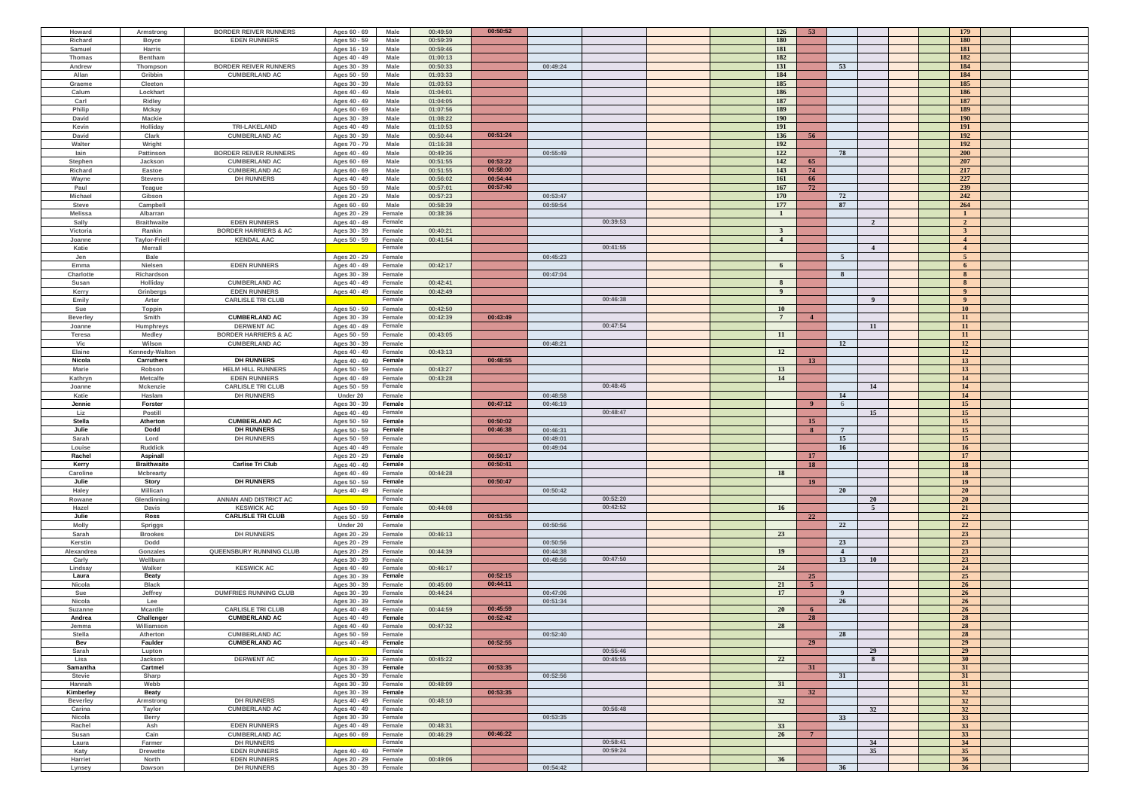| Howard                | Armstrong            | <b>BORDER REIVER RUNNERS</b>             | Ages 60 - 69 | Male        | 00:49:50 | 00:50:52 |          |          | 126             | 53             |                 |                | 179                   |  |
|-----------------------|----------------------|------------------------------------------|--------------|-------------|----------|----------|----------|----------|-----------------|----------------|-----------------|----------------|-----------------------|--|
| Richard               | <b>Boyce</b>         | <b>EDEN RUNNERS</b>                      | Ages 50 - 59 | Male        | 00:59:39 |          |          |          | <b>180</b>      |                |                 |                | <b>180</b>            |  |
| Samuel                | Harris               |                                          | Ages 16 - 19 | Male        | 00:59:46 |          |          |          | 181             |                |                 |                | 181                   |  |
|                       | <b>Bentham</b>       |                                          |              | Male        |          |          |          |          | 182             |                |                 |                | 182                   |  |
| Thomas                |                      |                                          | Ages 40 - 49 |             | 01:00:13 |          |          |          |                 |                |                 |                |                       |  |
| Andrew                | Thompson             | <b>BORDER REIVER RUNNERS</b>             | Ages 30 - 39 | Male        | 00:50:33 |          | 00:49:24 |          | 131             |                | 53              |                | 184                   |  |
| Allan                 | Gribbin              | <b>CUMBERLAND AC</b>                     | Ages 50 - 59 | <b>Male</b> | 01:03:33 |          |          |          | 184             |                |                 |                | 184                   |  |
| Graeme                | Cleeton              |                                          | Ages 30 - 39 | Male        | 01:03:53 |          |          |          | 185             |                |                 |                | 185                   |  |
| Calum                 | Lockhart             |                                          | Ages 40 - 49 | Male        | 01:04:01 |          |          |          | 186             |                |                 |                | 186                   |  |
| Carl                  | Ridley               |                                          | Ages 40 - 49 | Male        | 01:04:05 |          |          |          | 187             |                |                 |                | 187                   |  |
| Philip                | Mckay                |                                          | Ages 60 - 69 | Male        | 01:07:56 |          |          |          | 189             |                |                 |                | 189                   |  |
| David                 | <b>Mackie</b>        |                                          | Ages 30 - 39 | Male        | 01:08:22 |          |          |          | <b>190</b>      |                |                 |                | <b>190</b>            |  |
| Kevin                 | Holliday             | <b>TRI-LAKELAND</b>                      | Ages 40 - 49 | Male        | 01:10:53 |          |          |          | 191             |                |                 |                | 191                   |  |
| David                 | Clark                | <b>CUMBERLAND AC</b>                     | Ages 30 - 39 | Male        | 00:50:44 | 00:51:24 |          |          | 136             | 56             |                 |                | 192                   |  |
| Walter                | Wright               |                                          | Ages 70 - 79 | Male        | 01:16:38 |          |          |          | 192             |                |                 |                | 192                   |  |
| lain                  | Pattinson            | <b>BORDER REIVER RUNNERS</b>             | Ages 40 - 49 | Male        | 00:49:36 |          | 00:55:49 |          | 122             |                | 78              |                | <b>200</b>            |  |
| Stephen               | Jackson              | <b>CUMBERLAND AC</b>                     | Ages 60 - 69 | Male        | 00:51:55 | 00:53:22 |          |          | 142             | 65             |                 |                | 207                   |  |
| Richard               | Eastoe               | <b>CUMBERLAND AC</b>                     | Ages 60 - 69 | Male        | 00:51:55 | 00:58:00 |          |          | 143             | 74             |                 |                | 217                   |  |
|                       |                      |                                          |              |             |          | 00:54:44 |          |          |                 |                |                 |                | 227                   |  |
| Wayne                 | <b>Stevens</b>       | <b>DH RUNNERS</b>                        | Ages 40 - 49 | Male        | 00:56:02 |          |          |          | 161             | 66             |                 |                |                       |  |
| Paul                  | Teague               |                                          | Ages 50 - 59 | Male        | 00:57:01 | 00:57:40 |          |          | 167             | 72             |                 |                | 239                   |  |
| <b>Michael</b>        | Gibson               |                                          | Ages 20 - 29 | Male        | 00:57:23 |          | 00:53:47 |          | 170             |                | 72              |                | 242                   |  |
| <b>Steve</b>          | Campbell             |                                          | Ages 60 - 69 | Male        | 00:58:39 |          | 00:59:54 |          | 177             |                | 87              |                | 264                   |  |
| <b>Melissa</b>        | Albarran             |                                          | Ages 20 - 29 | Female      | 00:38:36 |          |          |          | $\mathbf{1}$    |                |                 |                | $\mathbf{1}$          |  |
| Sally                 | <b>Braithwaite</b>   | <b>EDEN RUNNERS</b>                      | Ages 40 - 49 | Female      |          |          |          | 00:39:53 |                 |                |                 | $\overline{2}$ | $\overline{2}$        |  |
| Victoria              | Rankin               | <b>BORDER HARRIERS &amp; AC</b>          | Ages 30 - 39 | Female      | 00:40:21 |          |          |          | $\mathbf{3}$    |                |                 |                | $\mathbf{3}$          |  |
| Joanne                | <b>Taylor-Friell</b> | <b>KENDAL AAC</b>                        | Ages 50 - 59 | Female      | 00:41:54 |          |          |          | $\overline{4}$  |                |                 |                | $\overline{4}$        |  |
| Katie                 | <b>Merrall</b>       |                                          |              | Female      |          |          |          | 00:41:55 |                 |                |                 | $\overline{4}$ | $\overline{4}$        |  |
| Jen                   | <b>Bale</b>          |                                          | Ages 20 - 29 | Female      |          |          | 00:45:23 |          |                 |                | $\sqrt{5}$      |                | 5 <sup>5</sup>        |  |
| Emma                  | Nielsen              | <b>EDEN RUNNERS</b>                      | Ages 40 - 49 | Female      | 00:42:17 |          |          |          | 6               |                |                 |                | 6                     |  |
|                       |                      |                                          |              |             |          |          |          |          |                 |                | 8               |                | 8 <sup>°</sup>        |  |
| Charlotte             | Richardson           |                                          | Ages 30 - 39 | Female      |          |          | 00:47:04 |          |                 |                |                 |                |                       |  |
| Susan                 | Holliday             | <b>CUMBERLAND AC</b>                     | Ages 40 - 49 | Female      | 00:42:41 |          |          |          | $\mathbf{8}$    |                |                 |                | 8 <sup>°</sup>        |  |
| Kerry                 | Grinbergs            | <b>EDEN RUNNERS</b>                      | Ages 40 - 49 | Female      | 00:42:49 |          |          |          | $\overline{9}$  |                |                 |                | $\overline{9}$        |  |
| Emily                 | Arter                | <b>CARLISLE TRI CLUB</b>                 |              | Female      |          |          |          | 00:46:38 |                 |                |                 | - 9            | 9 <sup>°</sup>        |  |
| Sue                   | <b>Toppin</b>        |                                          | Ages 50 - 59 | Female      | 00:42:50 |          |          |          | <b>10</b>       |                |                 |                | 10 <sup>1</sup>       |  |
| <b>Beverley</b>       | Smith                | <b>CUMBERLAND AC</b>                     | Ages 30 - 39 | Female      | 00:42:39 | 00:43:49 |          |          | $7\phantom{.0}$ | $\overline{4}$ |                 |                | 11                    |  |
| Joanne                | Humphreys            | <b>DERWENT AC</b>                        | Ages 40 - 49 | Female      |          |          |          | 00:47:54 |                 |                |                 | 11             | 11                    |  |
| Teresa                | <b>Medley</b>        | <b>BORDER HARRIERS &amp; AC</b>          | Ages 50 - 59 | Female      | 00:43:05 |          |          |          | -11             |                |                 |                | 11                    |  |
| Vic                   | Wilson               | <b>CUMBERLAND AC</b>                     | Ages 30 - 39 | Female      |          |          | 00:48:21 |          |                 |                | 12              |                | <b>12</b>             |  |
| Elaine                |                      |                                          |              |             |          |          |          |          | <b>12</b>       |                |                 |                | <b>12</b>             |  |
|                       | Kennedy-Walton       |                                          | Ages 40 - 49 | Female      | 00:43:13 |          |          |          |                 |                |                 |                |                       |  |
| Nicola                | Carruthers           | <b>DH RUNNERS</b>                        | Ages 40 - 49 | Female      |          | 00:48:55 |          |          |                 | <b>13</b>      |                 |                | 13                    |  |
| <b>Marie</b>          | Robson               | <b>HELM HILL RUNNERS</b>                 | Ages 50 - 59 | Female      | 00:43:27 |          |          |          | 13              |                |                 |                | 13                    |  |
| Kathryn               | <b>Metcalfe</b>      | <b>EDEN RUNNERS</b>                      | Ages 40 - 49 | Female      | 00:43:28 |          |          |          | <b>14</b>       |                |                 |                | 14                    |  |
| Joanne                | <b>Mckenzie</b>      | <b>CARLISLE TRI CLUB</b>                 | Ages 50 - 59 | Female      |          |          |          | 00:48:45 |                 |                |                 | 14             | 14                    |  |
| Katie                 | Haslam               | <b>DH RUNNERS</b>                        | Under 20     | Female      |          |          | 00:48:58 |          |                 |                | 14              |                | 14                    |  |
| Jennie                | Forster              |                                          | Ages 30 - 39 | Female      |          | 00:47:12 | 00:46:19 |          |                 | 9 <sup>°</sup> | 6               |                | 15                    |  |
| Liz                   | Postill              |                                          | Ages 40 - 49 | Female      |          |          |          | 00:48:47 |                 |                |                 | 15             | 15                    |  |
| <b>Stella</b>         | Atherton             | <b>CUMBERLAND AC</b>                     |              | Female      |          | 00:50:02 |          |          |                 | <b>15</b>      |                 |                | 15                    |  |
|                       |                      |                                          | Ages 50 - 59 |             |          |          |          |          |                 |                |                 |                |                       |  |
| Julie                 | <b>Dodd</b>          | <b>DH RUNNERS</b>                        | Ages 50 - 59 | Female      |          | 00:46:38 | 00:46:31 |          |                 | 8              | $7\phantom{.0}$ |                | 15                    |  |
| Sarah                 | Lord                 | <b>DH RUNNERS</b>                        | Ages 50 - 59 | Female      |          |          | 00:49:01 |          |                 |                | 15              |                | 15                    |  |
| Louise                | <b>Ruddick</b>       |                                          | Ages 40 - 49 | Female      |          |          | 00:49:04 |          |                 |                | 16              |                | 16 <sup>1</sup>       |  |
| Rachel                | Aspinall             |                                          | Ages 20 - 29 | Female      |          | 00:50:17 |          |          |                 | 17             |                 |                | 17                    |  |
| Kerry                 | <b>Braithwaite</b>   | <b>Carlise Tri Club</b>                  | Ages 40 - 49 | Female      |          | 00:50:41 |          |          |                 | 18             |                 |                | 18                    |  |
| Caroline              | <b>Mcbrearty</b>     |                                          | Ages 40 - 49 | Female      | 00:44:28 |          |          |          | <b>18</b>       |                |                 |                | 18                    |  |
| Julie                 | Story                | <b>DH RUNNERS</b>                        | Ages 50 - 59 | Female      |          | 00:50:47 |          |          |                 | 19             |                 |                | $19-19$               |  |
| Haley                 | <b>Millican</b>      |                                          | Ages 40 - 49 | Female      |          |          | 00:50:42 |          |                 |                | <b>20</b>       |                |                       |  |
| Rowane                | Glendinning          | <b>ANNAN AND DISTRICT AC</b>             |              | Female      |          |          |          |          |                 |                |                 |                | 20 <sup>°</sup>       |  |
| Hazel                 | Davis                | <b>KESWICK AC</b>                        |              |             |          |          |          | 00:52:20 |                 |                |                 | 20             | 20 <sup>°</sup>       |  |
| Julie                 | Ross                 |                                          |              |             |          |          |          |          |                 |                |                 |                |                       |  |
|                       |                      |                                          | Ages 50 - 59 | Female      | 00:44:08 |          |          | 00:42:52 | <b>16</b>       |                |                 | $\sqrt{5}$     | 21                    |  |
| <b>Molly</b><br>Sarah |                      | <b>CARLISLE TRI CLUB</b>                 | Ages 50 - 59 | Female      |          | 00:51:55 |          |          |                 | 22             |                 |                | 22                    |  |
|                       | Spriggs              |                                          | Under 20     | Female      |          |          | 00:50:56 |          |                 |                | 22              |                | 22                    |  |
|                       | <b>Brookes</b>       | <b>DH RUNNERS</b>                        | Ages 20 - 29 | Female      | 00:46:13 |          |          |          | 23              |                |                 |                | 23                    |  |
| Kerstin               | Dodd                 |                                          | Ages 20 - 29 | Female      |          |          | 00:50:56 |          |                 |                | 23              |                | 23                    |  |
| Alexandrea            | Gonzales             | QUEENSBURY RUNNING CLUB                  | Ages 20 - 29 | Female      | 00:44:39 |          | 00:44:38 |          | 19              |                | $\overline{4}$  |                | 23                    |  |
| Carly                 | Wellburn             |                                          | Ages 30 - 39 | Female      |          |          | 00:48:56 | 00:47:50 |                 |                | 13              | <b>10</b>      | 23                    |  |
| Lindsay               | Walker               | <b>KESWICK AC</b>                        | Ages 40 - 49 | Female      | 00:46:17 |          |          |          | 24              |                |                 |                | 24                    |  |
| Laura                 | Beaty                |                                          | Ages 30 - 39 | Female      |          | 00:52:15 |          |          |                 | 25             |                 |                | 25                    |  |
| Nicola                | <b>Black</b>         |                                          | Ages 30 - 39 | Female      | 00:45:00 | 00:44:11 |          |          | 21              | 5 <sup>1</sup> |                 |                | 26                    |  |
| Sue                   | Jeffrey              | <b>DUMFRIES RUNNING CLUB</b>             | Ages 30 - 39 | Female      | 00:44:24 |          | 00:47:06 |          | 17              |                | $\overline{9}$  |                | 26                    |  |
| Nicola                | Lee                  |                                          | Ages 30 - 39 | Female      |          |          | 00:51:34 |          |                 |                | 26              |                | 26                    |  |
| Suzanne               | Mcardle              | <b>CARLISLE TRI CLUB</b>                 | Ages 40 - 49 | Female      | 00:44:59 | 00:45:59 |          |          | <b>20</b>       | 6              |                 |                | 26                    |  |
| Andrea                | Challenger           | <b>CUMBERLAND AC</b>                     | Ages 40 - 49 | Female      |          | 00:52:42 |          |          |                 | 28             |                 |                | 28                    |  |
| Jemma                 | Williamson           |                                          | Ages 40 - 49 | Female      | 00:47:32 |          |          |          | 28              |                |                 |                | 28                    |  |
| <b>Stella</b>         | Atherton             | <b>CUMBERLAND AC</b>                     |              | Female      |          |          | 00:52:40 |          |                 |                | 28              |                | 28                    |  |
| Bev                   | Faulder              | <b>CUMBERLAND AC</b>                     | Ages 50 - 59 | Female      |          | 00:52:55 |          |          |                 |                |                 |                |                       |  |
|                       |                      |                                          | Ages 40 - 49 | Female      |          |          |          |          |                 | 29             |                 |                | 29                    |  |
| Sarah                 | Lupton               |                                          |              |             |          |          |          | 00:55:46 |                 |                |                 | 29             | 29                    |  |
| Lisa                  | Jackson              | <b>DERWENT AC</b>                        | Ages 30 - 39 | Female      | 00:45:22 |          |          | 00:45:55 | 22              |                |                 | 8              | 30 <sup>°</sup>       |  |
| Samantha              | Cartmel              |                                          | Ages 30 - 39 | Female      |          | 00:53:35 |          |          |                 | 31             |                 |                | 31                    |  |
| <b>Stevie</b>         | Sharp                |                                          | Ages 30 - 39 | Female      |          |          | 00:52:56 |          |                 |                | 31              |                | 31                    |  |
| Hannah                | Webb                 |                                          | Ages 30 - 39 | Female      | 00:48:09 |          |          |          | 31              |                |                 |                | 31                    |  |
| Kimberley             | Beaty                |                                          | Ages 30 - 39 | Female      |          | 00:53:35 |          |          |                 | 32             |                 |                | 32                    |  |
| <b>Beverley</b>       | Armstrong            | <b>DH RUNNERS</b>                        | Ages 40 - 49 | Female      | 00:48:10 |          |          |          | 32              |                |                 |                | 32                    |  |
| Carina                | Taylor               | <b>CUMBERLAND AC</b>                     | Ages 40 - 49 | Female      |          |          |          | 00:56:48 |                 |                |                 | 32             | 32                    |  |
| Nicola                | Berry                |                                          | Ages 30 - 39 | Female      |          |          | 00:53:35 |          |                 |                | 33              |                | 33 <sup>2</sup>       |  |
| Rachel                | Ash                  | <b>EDEN RUNNERS</b>                      | Ages 40 - 49 | Female      | 00:48:31 |          |          |          | 33              |                |                 |                | 33 <sup>2</sup>       |  |
| Susan                 | Cain                 | <b>CUMBERLAND AC</b>                     | Ages 60 - 69 | Female      | 00:46:29 | 00:46:22 |          |          | 26              | 7 <sup>7</sup> |                 |                | 33 <sup>2</sup>       |  |
| Laura                 | Farmer               | <b>DH RUNNERS</b>                        |              | Female      |          |          |          | 00:58:41 |                 |                |                 | 34             | 34                    |  |
| Katy                  | <b>Drewette</b>      | <b>EDEN RUNNERS</b>                      | Ages 40 - 49 | Female      |          |          |          | 00:59:24 |                 |                |                 | 35             | 35                    |  |
| Harriet               | North                | <b>EDEN RUNNERS</b><br><b>DH RUNNERS</b> | Ages 20 - 29 | Female      | 00:49:06 |          | 00:54:42 |          | 36              |                | 36              |                | 36<br>36 <sup>2</sup> |  |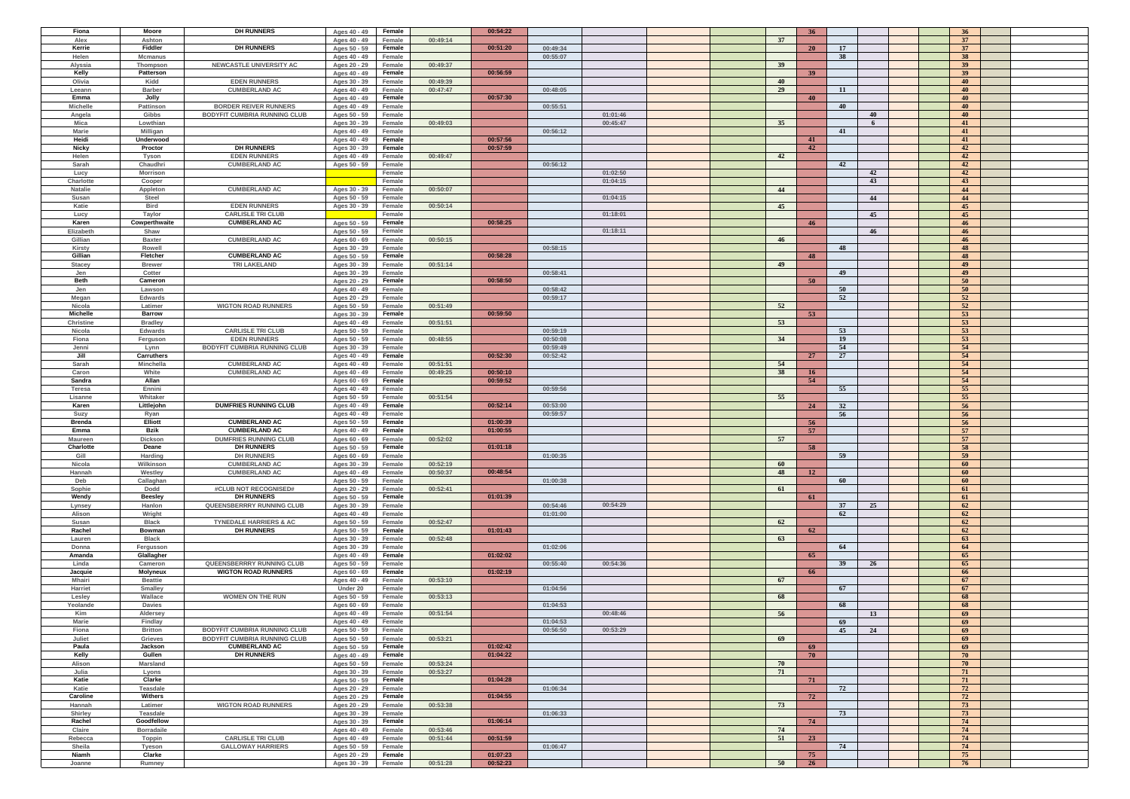|                 | Moore             | <b>DH RUNNERS</b>                   | Ages 40 - 49 | Female |          | 00:54:22 |          |          |     | 36 <sup>2</sup>  |    |    | 36 <sup>2</sup> |  |
|-----------------|-------------------|-------------------------------------|--------------|--------|----------|----------|----------|----------|-----|------------------|----|----|-----------------|--|
| Fiona<br>Alex   | Ashton            |                                     | Ages 40 - 49 | Female | 00:49:14 |          |          |          | 37  |                  |    |    | 37              |  |
|                 |                   |                                     |              |        |          |          |          |          |     |                  |    |    |                 |  |
| Kerrie          | Fiddler           | <b>DH RUNNERS</b>                   | Ages 50 - 59 | Female |          | 00:51:20 | 00:49:34 |          |     | <b>20</b>        | 17 |    | 37 <sup>7</sup> |  |
| Helen           | <b>Mcmanus</b>    |                                     | Ages 40 - 49 | Female |          |          | 00:55:07 |          |     |                  | 38 |    | 38              |  |
| Alyssia         | Thompson          | NEWCASTLE UNIVERSITY AC             | Ages 20 - 29 | Female | 00:49:37 |          |          |          | 39  |                  |    |    | 39 <sup>°</sup> |  |
| Kelly           | Patterson         |                                     | Ages 40 - 49 | Female |          | 00:56:59 |          |          |     | 39 <sup>°</sup>  |    |    | 39 <sup>°</sup> |  |
| Olivia          | Kidd              | <b>EDEN RUNNERS</b>                 | Ages 30 - 39 | Female | 00:49:39 |          |          |          | 40  |                  |    |    | 40              |  |
| Leeann          | <b>Barber</b>     | <b>CUMBERLAND AC</b>                | Ages 40 - 49 | Female | 00:47:47 |          | 00:48:05 |          | 29  |                  | 11 |    | 40              |  |
|                 |                   |                                     |              |        |          | 00:57:30 |          |          |     |                  |    |    |                 |  |
| Emma            | Jolly             |                                     | Ages 40 - 49 | Female |          |          |          |          |     | 40               |    |    | 40              |  |
| <b>Michelle</b> | Pattinson         | <b>BORDER REIVER RUNNERS</b>        | Ages 40 - 49 | Female |          |          | 00:55:51 |          |     |                  | 40 |    | 40              |  |
| Angela          | Gibbs             | <b>BODYFIT CUMBRIA RUNNING CLUB</b> | Ages 50 - 59 | Female |          |          |          | 01:01:46 |     |                  |    | 40 | 40              |  |
| Mica            | Lowthian          |                                     | Ages 30 - 39 | Female | 00:49:03 |          |          | 00:45:47 | 35  |                  |    | -6 | 41              |  |
| <b>Marie</b>    | Milligan          |                                     | Ages 40 - 49 | Female |          |          | 00:56:12 |          |     |                  | 41 |    | 41              |  |
|                 |                   |                                     |              |        |          |          |          |          |     |                  |    |    |                 |  |
| Heidi           | Underwood         |                                     | Ages 40 - 49 | Female |          | 00:57:56 |          |          |     | 41               |    |    | 41              |  |
| Nicky           | Proctor           | <b>DH RUNNERS</b>                   | Ages 30 - 39 | Female |          | 00:57:59 |          |          |     | 42               |    |    | 42              |  |
| Helen           | Tyson             | <b>EDEN RUNNERS</b>                 | Ages 40 - 49 | Female | 00:49:47 |          |          |          | 42  |                  |    |    | 42              |  |
| Sarah           | Chaudhri          | <b>CUMBERLAND AC</b>                | Ages 50 - 59 | Female |          |          | 00:56:12 |          |     |                  | 42 |    | 42              |  |
| Lucy            | <b>Morrison</b>   |                                     |              | Female |          |          |          | 01:02:50 |     |                  |    | 42 | 42              |  |
|                 |                   |                                     |              | Female |          |          |          | 01:04:15 |     |                  |    | 43 | 43              |  |
| Charlotte       | Cooper            |                                     |              |        |          |          |          |          |     |                  |    |    |                 |  |
| <b>Natalie</b>  | Appleton          | <b>CUMBERLAND AC</b>                | Ages 30 - 39 | Female | 00:50:07 |          |          |          | 44  |                  |    |    | 44              |  |
| Susan           | Steel             |                                     | Ages 50 - 59 | Female |          |          |          | 01:04:15 |     |                  |    | 44 | 44              |  |
| Katie           | Bird              | <b>EDEN RUNNERS</b>                 | Ages 30 - 39 | Female | 00:50:14 |          |          |          | 45  |                  |    |    | 45              |  |
| Lucy            | Taylor            | <b>CARLISLE TRI CLUB</b>            |              | Female |          |          |          | 01:18:01 |     |                  |    | 45 | 45              |  |
| Karen           |                   | <b>CUMBERLAND AC</b>                |              |        |          | 00:58:25 |          |          |     |                  |    |    |                 |  |
|                 | Cowperthwaite     |                                     | Ages 50 - 59 | Female |          |          |          |          |     | 46               |    |    | 46              |  |
| Elizabeth       | Shaw              |                                     | Ages 50 - 59 | Female |          |          |          | 01:18:11 |     |                  |    | 46 | 46              |  |
| Gillian         | <b>Baxter</b>     | <b>CUMBERLAND AC</b>                | Ages 60 - 69 | Female | 00:50:15 |          |          |          | -46 |                  |    |    | 46              |  |
| Kirsty          | Rowell            |                                     | Ages 30 - 39 | Female |          |          | 00:58:15 |          |     |                  | 48 |    | 48              |  |
| Gillian         | Fletcher          | <b>CUMBERLAND AC</b>                | Ages 50 - 59 | Female |          | 00:58:28 |          |          |     | 48               |    |    | 48              |  |
| Stacey          | <b>Brewer</b>     | <b>TRI LAKELAND</b>                 | Ages 30 - 39 | Female | 00:51:14 |          |          |          | 49  |                  |    |    | 49              |  |
|                 |                   |                                     |              |        |          |          |          |          |     |                  |    |    |                 |  |
| Jen             | Cotter            |                                     | Ages 30 - 39 | Female |          |          | 00:58:41 |          |     |                  | 49 |    | 49              |  |
| <b>Beth</b>     | Cameron           |                                     | Ages 20 - 29 | Female |          | 00:58:50 |          |          |     | 50 <sup>°</sup>  |    |    | 50              |  |
| Jen             | Lawson            |                                     | Ages 40 - 49 | Female |          |          | 00:58:42 |          |     |                  | 50 |    | 50              |  |
| Megan           | <b>Edwards</b>    |                                     | Ages 20 - 29 | Female |          |          | 00:59:17 |          |     |                  | 52 |    | 52              |  |
| Nicola          | Latimer           | <b>WIGTON ROAD RUNNERS</b>          | Ages 50 - 59 | Female | 00:51:49 |          |          |          | 52  |                  |    |    | 52              |  |
| <b>Michelle</b> | <b>Barrow</b>     |                                     |              | Female |          | 00:59:50 |          |          |     | 53               |    |    | 53              |  |
|                 |                   |                                     | Ages 30 - 39 |        |          |          |          |          |     |                  |    |    |                 |  |
| Christine       | <b>Bradley</b>    |                                     | Ages 40 - 49 | Female | 00:51:51 |          |          |          | 53  |                  |    |    | 53              |  |
| Nicola          | <b>Edwards</b>    | <b>CARLISLE TRI CLUB</b>            | Ages 50 - 59 | Female |          |          | 00:59:19 |          |     |                  | 53 |    | 53              |  |
| Fiona           | Ferguson          | <b>EDEN RUNNERS</b>                 | Ages 50 - 59 | Female | 00:48:55 |          | 00:50:08 |          | 34  |                  | 19 |    | 53              |  |
| Jenni           | Lynn              | <b>BODYFIT CUMBRIA RUNNING CLUB</b> | Ages 30 - 39 | Female |          |          | 00:59:49 |          |     |                  | 54 |    | 54              |  |
|                 |                   |                                     |              |        |          |          |          |          |     |                  |    |    |                 |  |
| Jill            | Carruthers        |                                     | Ages 40 - 49 | Female |          | 00:52:30 | 00:52:42 |          |     | 27               | 27 |    | 54              |  |
| Sarah           | Minchella         | <b>CUMBERLAND AC</b>                | Ages 40 - 49 | Female | 00:51:51 |          |          |          | 54  |                  |    |    | 54              |  |
| Caron           | White             | <b>CUMBERLAND AC</b>                | Ages 40 - 49 | Female | 00:49:25 | 00:50:10 |          |          | 38  | 16 <sup>16</sup> |    |    | 54              |  |
| Sandra          | Allan             |                                     | Ages 60 - 69 | Female |          | 00:59:52 |          |          |     | 54               |    |    | 54              |  |
| Teresa          | Ennini            |                                     | Ages 40 - 49 | Female |          |          | 00:59:56 |          |     |                  | 55 |    | 55              |  |
|                 |                   |                                     |              |        |          |          |          |          |     |                  |    |    |                 |  |
| Lisanne         | Whitaker          |                                     | Ages 50 - 59 | Female | 00:51:54 |          |          |          | 55  |                  |    |    | 55              |  |
| Karen           | Littlejohn        | <b>DUMFRIES RUNNING CLUB</b>        | Ages 40 - 49 | Female |          | 00:52:14 | 00:53:00 |          |     | 24               | 32 |    | 56              |  |
| Suzy            | Ryan              |                                     | Ages 40 - 49 | Female |          |          | 00:59:57 |          |     |                  | 56 |    | 56              |  |
| <b>Brenda</b>   | <b>Elliott</b>    | <b>CUMBERLAND AC</b>                | Ages 50 - 59 | Female |          | 01:00:39 |          |          |     | 56               |    |    | 56              |  |
| Emma            | Bzik              | <b>CUMBERLAND AC</b>                | Ages 40 - 49 | Female |          | 01:00:55 |          |          |     | 57               |    |    | 57              |  |
|                 |                   |                                     |              |        |          |          |          |          |     |                  |    |    |                 |  |
| <b>Maureen</b>  | Dickson           | <b>DUMFRIES RUNNING CLUB</b>        | Ages 60 - 69 | Female | 00:52:02 |          |          |          | 57  |                  |    |    | 57              |  |
| Charlotte       |                   |                                     | Ages 50 - 59 | Female |          | 01:01:18 |          |          |     | 58               |    |    | 58              |  |
|                 | Deane             | <b>DH RUNNERS</b>                   |              |        |          |          |          |          |     |                  |    |    |                 |  |
| Gill            | Harding           | <b>DH RUNNERS</b>                   | Ages 60 - 69 | Female |          |          | 01:00:35 |          |     |                  | 59 |    | 59              |  |
| Nicola          | Wilkinson         |                                     |              |        |          |          |          |          | -60 |                  |    |    | 60              |  |
|                 |                   | <b>CUMBERLAND AC</b>                | Ages 30 - 39 | Female | 00:52:19 |          |          |          |     |                  |    |    |                 |  |
| Hannah          | Westley           | <b>CUMBERLAND AC</b>                | Ages 40 - 49 | Female | 00:50:37 | 00:48:54 |          |          | 48  | 12               |    |    | 60              |  |
| Deb             | Callaghan         |                                     | Ages 50 - 59 | Female |          |          | 01:00:38 |          |     |                  | 60 |    | 60              |  |
| Sophie          | Dodd              | #CLUB NOT RECOGNISED#               | Ages 20 - 29 | Female | 00:52:41 |          |          |          | 61  |                  |    |    | 61              |  |
| Wendy           | <b>Beesley</b>    | <b>DH RUNNERS</b>                   | Ages 50 - 59 | Female |          | 01:01:39 |          |          |     | 61               |    |    | 61              |  |
| Lynsey          | Hanlon            | QUEENSBERRRY RUNNING CLUB           | Ages 30 - 39 | Female |          |          | 00:54:46 | 00:54:29 |     |                  | 37 | 25 | 62              |  |
|                 |                   |                                     |              |        |          |          |          |          |     |                  |    |    |                 |  |
| Alison          | Wright            |                                     | Ages 40 - 49 | Female |          |          | 01:01:00 |          |     |                  | 62 |    | 62              |  |
| Susan           | <b>Black</b>      | <b>TYNEDALE HARRIERS &amp; AC</b>   | Ages 50 - 59 | Female | 00:52:47 |          |          |          | 62  |                  |    |    | 62              |  |
| Rachel          | Bowman            | <b>DH RUNNERS</b>                   | Ages 50 - 59 | Female |          | 01:01:43 |          |          |     | 62               |    |    | 62              |  |
| Lauren          | <b>Black</b>      |                                     | Ages 30 - 39 | Female | 00:52:48 |          |          |          | 63  |                  |    |    | 63              |  |
| Donna           | Fergusson         |                                     | Ages 30 - 39 | Female |          |          | 01:02:06 |          |     |                  | 64 |    | 64              |  |
| Amanda          | Glallagher        |                                     | Ages 40 - 49 | Female |          | 01:02:02 |          |          |     | 65               |    |    | 65              |  |
| Linda           | Cameron           | QUEENSBERRRY RUNNING CLUB           | Ages 50 - 59 | Female |          |          | 00:55:40 | 00:54:36 |     |                  | 39 | 26 | 65              |  |
|                 |                   |                                     |              |        |          |          |          |          |     |                  |    |    |                 |  |
| Jacquie         | Molyneux          | <b>WIGTON ROAD RUNNERS</b>          | Ages 60 - 69 | Female |          | 01:02:19 |          |          |     | 66               |    |    | 66              |  |
| <b>Mhairi</b>   | <b>Beattie</b>    |                                     | Ages 40 - 49 | Female | 00:53:10 |          |          |          | 67  |                  |    |    | 67              |  |
| Harriet         | Smalley           |                                     | Under 20     | Female |          |          | 01:04:56 |          |     |                  | 67 |    | 67              |  |
| Lesley          | Wallace           | <b>WOMEN ON THE RUN</b>             | Ages 50 - 59 | Female | 00:53:13 |          |          |          | 68  |                  |    |    | 68              |  |
| Yeolande        | <b>Davies</b>     |                                     | Ages 60 - 69 | Female |          |          | 01:04:53 |          |     |                  | 68 |    | 68              |  |
| Kim             | Aldersey          |                                     | Ages 40 - 49 | Female | 00:51:54 |          |          | 00:48:46 | 56  |                  |    | 13 | 69              |  |
|                 |                   |                                     |              |        |          |          |          |          |     |                  |    |    |                 |  |
| <b>Marie</b>    | Findlay           |                                     | Ages 40 - 49 | Female |          |          | 01:04:53 |          |     |                  | 69 |    | 69              |  |
| Fiona           | <b>Britton</b>    | <b>BODYFIT CUMBRIA RUNNING CLUB</b> | Ages 50 - 59 | Female |          |          | 00:56:50 | 00:53:29 |     |                  | 45 | 24 | 69              |  |
| Juliet          | Grieves           | <b>BODYFIT CUMBRIA RUNNING CLUB</b> | Ages 50 - 59 | Female | 00:53:21 |          |          |          | 69  |                  |    |    | 69              |  |
| Paula           | Jackson           | <b>CUMBERLAND AC</b>                | Ages 50 - 59 | Female |          | 01:02:42 |          |          |     | 69               |    |    | 69              |  |
| Kelly           | Gullen            | <b>DH RUNNERS</b>                   | Ages 40 - 49 | Female |          | 01:04:22 |          |          |     | 70               |    |    | 70              |  |
| Alison          | Marsland          |                                     | Ages 50 - 59 | Female | 00:53:24 |          |          |          | -70 |                  |    |    | 70              |  |
|                 |                   |                                     |              |        |          |          |          |          |     |                  |    |    |                 |  |
| Julia           | Lyons             |                                     | Ages 30 - 39 | Female | 00:53:27 |          |          |          | 71  |                  |    |    | 71              |  |
| Katie           | Clarke            |                                     | Ages 50 - 59 | Female |          | 01:04:28 |          |          |     | 71               |    |    | 71              |  |
| Katie           | Teasdale          |                                     | Ages 20 - 29 | Female |          |          | 01:06:34 |          |     |                  | 72 |    | 72              |  |
| Caroline        | Withers           |                                     | Ages 20 - 29 | Female |          | 01:04:55 |          |          |     | 72               |    |    | 72              |  |
| Hannah          | Latimer           | <b>WIGTON ROAD RUNNERS</b>          | Ages 20 - 29 | Female | 00:53:38 |          |          |          | 73  |                  |    |    | 73              |  |
| Shirley         | Teasdale          |                                     |              | Female |          |          | 01:06:33 |          |     |                  | 73 |    | 73              |  |
|                 |                   |                                     | Ages 30 - 39 |        |          |          |          |          |     |                  |    |    |                 |  |
| Rachel          | Goodfellow        |                                     | Ages 30 - 39 | Female |          | 01:06:14 |          |          |     | 74               |    |    | 74              |  |
| Claire          | <b>Borradaile</b> |                                     | Ages 40 - 49 | Female | 00:53:46 |          |          |          | 74  |                  |    |    | 74              |  |
| Rebecca         | Toppin            | <b>CARLISLE TRI CLUB</b>            | Ages 40 - 49 | Female | 00:51:44 | 00:51:59 |          |          | 51  | 23               |    |    | 74              |  |
| Sheila          | Tyeson            | <b>GALLOWAY HARRIERS</b>            | Ages 50 - 59 | Female |          |          | 01:06:47 |          |     |                  | 74 |    | 74              |  |
| Niamh           | Clarke            |                                     | Ages 20 - 29 | Female |          | 01:07:23 |          |          |     | 75               |    |    | 75              |  |
| Joanne          | Rumney            |                                     | Ages 30 - 39 | Female | 00:51:28 | 00:52:23 |          |          | 50  | 26               |    |    | 76              |  |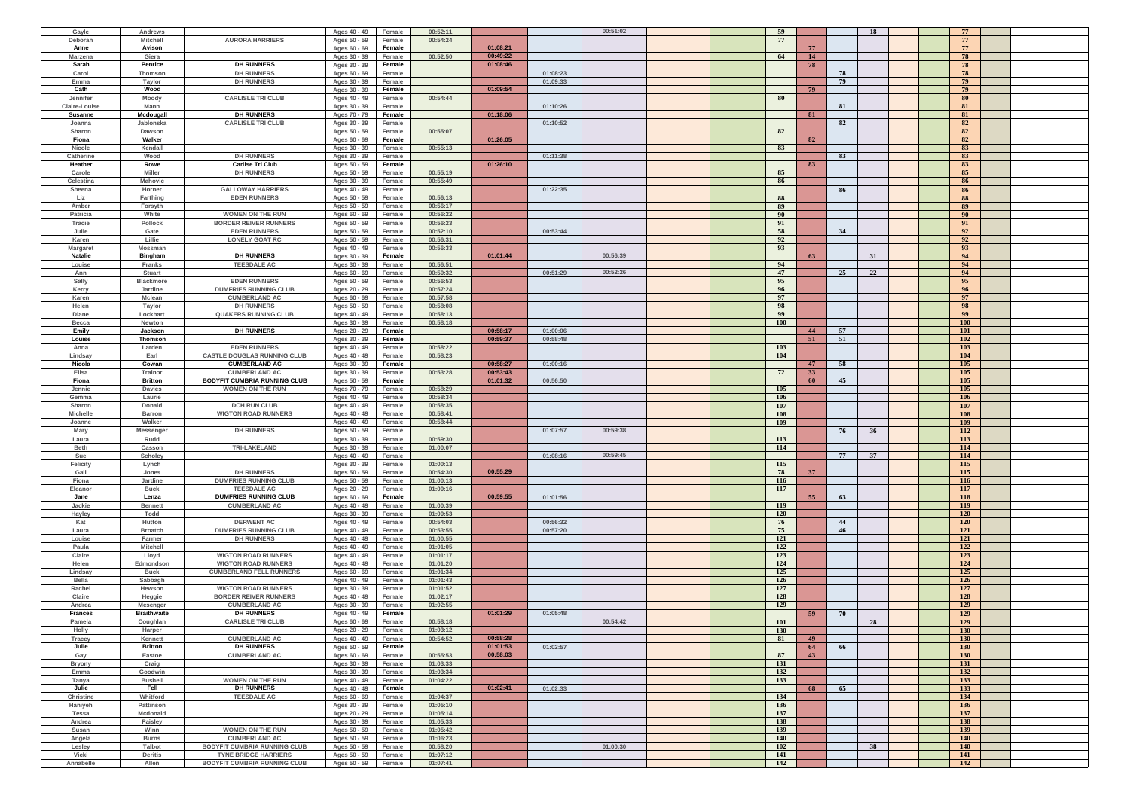| Gayle            | Andrews            |                                     | Ages 40 - 49 | Female | 00:52:11 |          |          | 00:51:02 | 59         |    | <b>18</b> | 77         |  |
|------------------|--------------------|-------------------------------------|--------------|--------|----------|----------|----------|----------|------------|----|-----------|------------|--|
| Deborah          | <b>Mitchell</b>    | <b>AURORA HARRIERS</b>              | Ages 50 - 59 | Female | 00:54:24 |          |          |          | 77         |    |           | 77         |  |
|                  |                    |                                     |              |        |          |          |          |          |            |    |           |            |  |
| Anne             | Avison             |                                     | Ages 60 - 69 | Female |          | 01:08:21 |          |          |            | 77 |           | 77         |  |
| Marzena          | Giera              |                                     | Ages 30 - 39 | Female | 00:52:50 | 00:49:22 |          |          | 64         | 14 |           | 78         |  |
| Sarah            | Penrice            | <b>DH RUNNERS</b>                   | Ages 30 - 39 | Female |          | 01:08:46 |          |          |            | 78 |           | 78         |  |
| Carol            | Thomson            | <b>DH RUNNERS</b>                   | Ages 60 - 69 | Female |          |          | 01:08:23 |          |            |    | 78        | 78         |  |
| Emma             | Taylor             | <b>DH RUNNERS</b>                   | Ages 30 - 39 | Female |          |          | 01:09:33 |          |            |    | 79        | 79         |  |
| Cath             | Wood               |                                     | Ages 30 - 39 | Female |          | 01:09:54 |          |          |            | 79 |           | 79         |  |
| Jennifer         | Moody              | <b>CARLISLE TRI CLUB</b>            | Ages 40 - 49 | Female | 00:54:44 |          |          |          | - 80       |    |           | 80         |  |
| Claire-Louise    | Mann               |                                     |              | Female |          |          | 01:10:26 |          |            |    | 81        | 81         |  |
|                  |                    |                                     | Ages 30 - 39 |        |          |          |          |          |            |    |           |            |  |
| Susanne          | Mcdougall          | <b>DH RUNNERS</b>                   | Ages 70 - 79 | Female |          | 01:18:06 |          |          |            | 81 |           | 81         |  |
| Joanna           | Jablonska          | <b>CARLISLE TRI CLUB</b>            | Ages 30 - 39 | Female |          |          | 01:10:52 |          |            |    | 82        | 82         |  |
| Sharon           | Dawson             |                                     | Ages 50 - 59 | Female | 00:55:07 |          |          |          | 82         |    |           | 82         |  |
| Fiona            | Walker             |                                     | Ages 60 - 69 | Female |          | 01:26:05 |          |          |            | 82 |           | 82         |  |
| Nicole           | Kendall            |                                     | Ages 30 - 39 | Female | 00:55:13 |          |          |          | 83         |    |           | 83         |  |
| Catherine        | Wood               | <b>DH RUNNERS</b>                   | Ages 30 - 39 | Female |          |          | 01:11:38 |          |            |    | 83        | 83         |  |
| Heather          | Rowe               | <b>Carlise Tri Club</b>             | Ages 50 - 59 | Female |          | 01:26:10 |          |          |            | 83 |           | 83         |  |
|                  |                    |                                     |              |        |          |          |          |          |            |    |           |            |  |
| Carole           | Miller             | <b>DH RUNNERS</b>                   | Ages 50 - 59 | Female | 00:55:19 |          |          |          | 85         |    |           | 85         |  |
| Celestina        | Mahovic            |                                     | Ages 30 - 39 | Female | 00:55:49 |          |          |          | 86         |    |           | 86         |  |
| Sheena           | Horner             | <b>GALLOWAY HARRIERS</b>            | Ages 40 - 49 | Female |          |          | 01:22:35 |          |            |    | 86        | 86         |  |
| Liz              | Farthing           | <b>EDEN RUNNERS</b>                 | Ages 50 - 59 | Female | 00:56:13 |          |          |          | 88         |    |           | 88         |  |
| Amber            | Forsyth            |                                     | Ages 50 - 59 | Female | 00:56:17 |          |          |          | 89         |    |           | 89         |  |
| Patricia         | White              | <b>WOMEN ON THE RUN</b>             | Ages 60 - 69 | Female | 00:56:22 |          |          |          | 90         |    |           | 90         |  |
| Tracie           | Pollock            | <b>BORDER REIVER RUNNERS</b>        | Ages 50 - 59 | Female | 00:56:23 |          |          |          | 91         |    |           | 91         |  |
| Julie            | Gate               | <b>EDEN RUNNERS</b>                 | Ages 50 - 59 | Female | 00:52:10 |          | 00:53:44 |          | 58         |    | 34        | 92         |  |
|                  |                    |                                     |              |        |          |          |          |          |            |    |           |            |  |
| Karen            | Lillie             | <b>LONELY GOAT RC</b>               | Ages 50 - 59 | Female | 00:56:31 |          |          |          | 92         |    |           | 92         |  |
| Margaret         | Mossman            |                                     | Ages 40 - 49 | Female | 00:56:33 |          |          |          | 93         |    |           | 93         |  |
| <b>Natalie</b>   | <b>Bingham</b>     | <b>DH RUNNERS</b>                   | Ages 30 - 39 | Female |          | 01:01:44 |          | 00:56:39 |            | 63 | 31        | 94         |  |
| Louise           | <b>Franks</b>      | <b>TEESDALE AC</b>                  | Ages 30 - 39 | Female | 00:56:51 |          |          |          | 94         |    |           | 94         |  |
| Ann              | <b>Stuart</b>      |                                     | Ages 60 - 69 | Female | 00:50:32 |          | 00:51:29 | 00:52:26 | 47         |    | 25<br>22  | 94         |  |
| Sally            | <b>Blackmore</b>   | <b>EDEN RUNNERS</b>                 | Ages 50 - 59 | Female | 00:56:53 |          |          |          | 95         |    |           | 95         |  |
| Kerry            | Jardine            | <b>DUMFRIES RUNNING CLUB</b>        | Ages 20 - 29 | Female | 00:57:24 |          |          |          | 96         |    |           | 96         |  |
| Karen            | <b>Mclean</b>      | <b>CUMBERLAND AC</b>                | Ages 60 - 69 | Female | 00:57:58 |          |          |          | 97         |    |           | 97         |  |
|                  |                    |                                     |              |        |          |          |          |          |            |    |           |            |  |
| Helen            | Taylor             | <b>DH RUNNERS</b>                   | Ages 50 - 59 | Female | 00:58:08 |          |          |          | 98         |    |           | 98         |  |
| Diane            | Lockhart           | <b>QUAKERS RUNNING CLUB</b>         | Ages 40 - 49 | Female | 00:58:13 |          |          |          | 99         |    |           | 99         |  |
| Becca            | Newton             |                                     | Ages 30 - 39 | Female | 00:58:18 |          |          |          | <b>100</b> |    |           | <b>100</b> |  |
| Emily            | Jackson            | <b>DH RUNNERS</b>                   | Ages 20 - 29 | Female |          | 00:58:17 | 01:00:06 |          |            | 44 | 57        | <b>101</b> |  |
| Louise           | Thomson            |                                     | Ages 30 - 39 | Female |          | 00:59:37 | 00:58:48 |          |            | 51 | 51        | 102        |  |
| Anna             | Larden             | <b>EDEN RUNNERS</b>                 | Ages 40 - 49 | Female | 00:58:22 |          |          |          | 103        |    |           | 103        |  |
|                  |                    | <b>CASTLE DOUGLAS RUNNING CLUB</b>  |              |        | 00:58:23 |          |          |          | 104        |    |           | 104        |  |
| Lindsay          | Earl               |                                     | Ages 40 - 49 | Female |          |          |          |          |            |    |           |            |  |
| Nicola           | Cowan              | <b>CUMBERLAND AC</b>                | Ages 30 - 39 | Female |          | 00:58:27 | 01:00:16 |          |            | 47 | 58        | 105        |  |
| Elisa            | Trainor            | <b>CUMBERLAND AC</b>                | Ages 30 - 39 | Female | 00:53:28 | 00:53:43 |          |          | 72         | 33 |           | 105        |  |
| Fiona            | <b>Britton</b>     | BODYFIT CUMBRIA RUNNING CLUB        | Ages 50 - 59 | Female |          | 01:01:32 | 00:56:50 |          |            | 60 | 45        | 105        |  |
| Jennie           | <b>Davies</b>      | <b>WOMEN ON THE RUN</b>             | Ages 70 - 79 | Female | 00:58:29 |          |          |          | 105        |    |           | 105        |  |
| Gemma            | Laurie             |                                     | Ages 40 - 49 | Female | 00:58:34 |          |          |          | 106        |    |           | 106        |  |
| Sharon           | Donald             | <b>DCH RUN CLUB</b>                 | Ages 40 - 49 | Female | 00:58:35 |          |          |          | 107        |    |           | 107        |  |
| <b>Michelle</b>  | <b>Barron</b>      | <b>WIGTON ROAD RUNNERS</b>          |              | Female | 00:58:41 |          |          |          | 108        |    |           | 108        |  |
|                  |                    |                                     | Ages 40 - 49 |        |          |          |          |          |            |    |           |            |  |
| Joanne           | Walker             |                                     | Ages 40 - 49 | Female | 00:58:44 |          |          |          | 109        |    |           | 109        |  |
| Mary             | Messenge           | <b>DH RUNNERS</b>                   | Ages 50 - 59 | Female |          |          | 01:07:57 | 00:59:38 |            |    | 76<br>36  | 112        |  |
| Laura            | Rudd               |                                     | Ages 30 - 39 | Female | 00:59:30 |          |          |          | 113        |    |           | 113        |  |
| <b>Beth</b>      | Casson             | <b>TRI-LAKELAND</b>                 | Ages 30 - 39 | Female | 01:00:07 |          |          |          | 114        |    |           | 114        |  |
| Sue              | Scholey            |                                     | Ages 40 - 49 | Female |          |          | 01:08:16 | 00:59:45 |            |    | 77<br>37  | 114        |  |
| Felicity         | Lynch              |                                     | Ages 30 - 39 | Female | 01:00:13 |          |          |          | 115        |    |           | 115        |  |
| Gail             | Jones              | <b>DH RUNNERS</b>                   | Ages 50 - 59 | Female | 00:54:30 | 00:55:29 |          |          | 78         | 37 |           | 115        |  |
|                  |                    |                                     |              |        |          |          |          |          |            |    |           |            |  |
| Fiona            | Jardine            | <b>DUMFRIES RUNNING CLUB</b>        | Ages 50 - 59 | Female | 01:00:13 |          |          |          | 116        |    |           | 116        |  |
| Eleanor          | <b>Buck</b>        | <b>TEESDALE AC</b>                  | Ages 20 - 29 | Female | 01:00:16 |          |          |          | 117        |    |           | 117        |  |
| Jane             | Lenza              | <b>DUMFRIES RUNNING CLUB</b>        | Ages 60 - 69 | Female |          | 00:59:55 | 01:01:56 |          |            | 55 | 63        | 118        |  |
| Jackie           | <b>Bennett</b>     | <b>CUMBERLAND AC</b>                | Ages 40 - 49 | Female | 01:00:39 |          |          |          | <b>119</b> |    |           | 119        |  |
| Hayley           | Todd               |                                     | Ages 30 - 39 | Female | 01:00:53 |          |          |          | <b>120</b> |    |           | 120        |  |
| Kat              | Hutton             | <b>DERWENT AC</b>                   | Ages 40 - 49 | Female | 00:54:03 |          | 00:56:32 |          | 76         |    | 44        | 120        |  |
| Laura            | <b>Broatch</b>     | <b>DUMFRIES RUNNING CLUB</b>        | Ages 40 - 49 | Female | 00:53:55 |          | 00:57:20 |          | 75         |    | 46        | 121        |  |
| Louise           | Farmer             | <b>DH RUNNERS</b>                   | Ages 40 - 49 | Female | 01:00:55 |          |          |          | 121        |    |           | 121        |  |
| Paula            | <b>Mitchell</b>    |                                     |              |        | 01:01:05 |          |          |          |            |    |           | 122        |  |
|                  |                    |                                     | Ages 40 - 49 | Female |          |          |          |          | 122        |    |           |            |  |
| Claire           | Lloyd              | <b>WIGTON ROAD RUNNERS</b>          | Ages 40 - 49 | Female | 01:01:17 |          |          |          | 123        |    |           | 123        |  |
| Helen            | Edmondson          | <b>WIGTON ROAD RUNNERS</b>          | Ages 40 - 49 | Female | 01:01:20 |          |          |          | 124        |    |           | 124        |  |
| Lindsay          | <b>Buck</b>        | <b>CUMBERLAND FELL RUNNERS</b>      | Ages 60 - 69 | Female | 01:01:34 |          |          |          | 125        |    |           | 125        |  |
| Bella            | Sabbagh            |                                     | Ages 40 - 49 | Female | 01:01:43 |          |          |          | 126        |    |           | 126        |  |
| Rachel           | Hewson             | <b>WIGTON ROAD RUNNERS</b>          | Ages 30 - 39 | Female | 01:01:52 |          |          |          | 127        |    |           | 127        |  |
| Claire           | Heggie             | <b>BORDER REIVER RUNNERS</b>        | Ages 40 - 49 | Female | 01:02:17 |          |          |          | 128        |    |           | 128        |  |
| Andrea           | Mesenger           | <b>CUMBERLAND AC</b>                | Ages 30 - 39 | Female | 01:02:55 |          |          |          | 129        |    |           | 129        |  |
|                  |                    | <b>DH RUNNERS</b>                   |              |        |          |          |          |          |            |    |           |            |  |
| <b>Frances</b>   | <b>Braithwaite</b> |                                     | Ages 40 - 49 | Female |          | 01:01:29 | 01:05:48 |          |            | 59 | 70        | 129        |  |
| Pamela           | Coughlan           | <b>CARLISLE TRI CLUB</b>            | Ages 60 - 69 | Female | 00:58:18 |          |          | 00:54:42 | <b>101</b> |    | 28        | 129        |  |
| Holly            | Harper             |                                     | Ages 20 - 29 | Female | 01:03:12 |          |          |          | <b>130</b> |    |           | 130        |  |
| Tracey           | Kennett            | <b>CUMBERLAND AC</b>                | Ages 40 - 49 | Female | 00:54:52 | 00:58:28 |          |          | 81         | 49 |           | 130        |  |
| Julie            | <b>Britton</b>     | <b>DH RUNNERS</b>                   | Ages 50 - 59 | Female |          | 01:01:53 | 01:02:57 |          |            | 64 | 66        | <b>130</b> |  |
| Gay              | Eastoe             | <b>CUMBERLAND AC</b>                | Ages 60 - 69 | Female | 00:55:53 | 00:58:03 |          |          | 87         | 43 |           | <b>130</b> |  |
| <b>Bryony</b>    | Craig              |                                     | Ages 30 - 39 | Female | 01:03:33 |          |          |          | 131        |    |           | 131        |  |
|                  |                    |                                     |              |        |          |          |          |          |            |    |           |            |  |
| Emma             | Goodwin            |                                     | Ages 30 - 39 | Female | 01:03:34 |          |          |          | 132        |    |           | 132        |  |
| Tanya            | <b>Bushell</b>     | <b>WOMEN ON THE RUN</b>             | Ages 40 - 49 | Female | 01:04:22 |          |          |          | 133        |    |           | 133        |  |
| Julie            | Fell               | <b>DH RUNNERS</b>                   | Ages 40 - 49 | Female |          | 01:02:41 | 01:02:33 |          |            | 68 | 65        | 133        |  |
| <b>Christine</b> | Whitford           | <b>TEESDALE AC</b>                  | Ages 60 - 69 | Female | 01:04:37 |          |          |          | 134        |    |           | 134        |  |
| Haniyeh          | Pattinson          |                                     | Ages 30 - 39 | Female | 01:05:10 |          |          |          | 136        |    |           | 136        |  |
| Tessa            | Mcdonald           |                                     | Ages 20 - 29 | Female | 01:05:14 |          |          |          | 137        |    |           | 137        |  |
| Andrea           | Paisley            |                                     | Ages 30 - 39 | Female | 01:05:33 |          |          |          | 138        |    |           | 138        |  |
| Susan            | Winn               | <b>WOMEN ON THE RUN</b>             |              |        | 01:05:42 |          |          |          | 139        |    |           | 139        |  |
|                  |                    |                                     | Ages 50 - 59 | Female |          |          |          |          |            |    |           |            |  |
| Angela           | <b>Burns</b>       | <b>CUMBERLAND AC</b>                | Ages 50 - 59 | Female | 01:06:23 |          |          |          | <b>140</b> |    |           | 140        |  |
| Lesley           | <b>Talbot</b>      | <b>BODYFIT CUMBRIA RUNNING CLUB</b> | Ages 50 - 59 | Female | 00:58:20 |          |          | 01:00:30 | 102        |    | 38        | 140        |  |
| Vicki            | <b>Deritis</b>     | <b>TYNE BRIDGE HARRIERS</b>         | Ages 50 - 59 | Female | 01:07:12 |          |          |          | 141        |    |           | 141        |  |
| Annabelle        | Allen              | BODYFIT CUMBRIA RUNNING CLUB        | Ages 50 - 59 | Female | 01:07:41 |          |          |          | 142        |    |           | 142        |  |